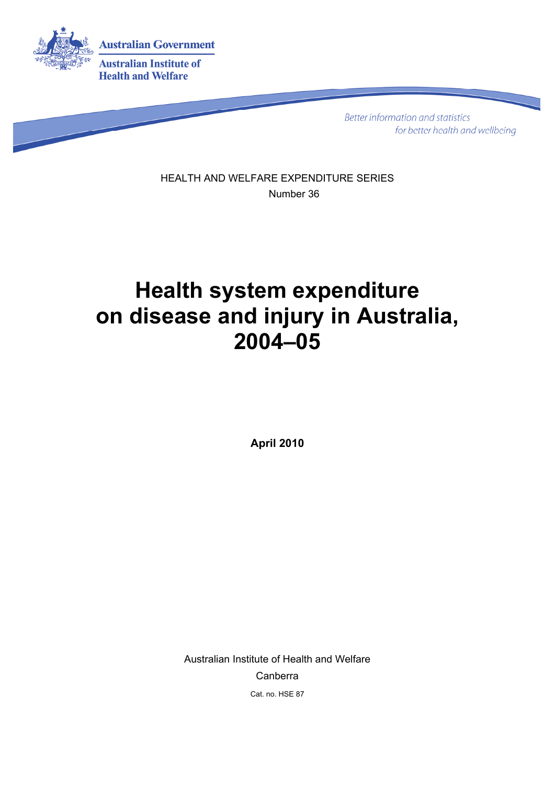

**Better information and statistics** for better health and wellbeing

HEALTH AND WELFARE EXPENDITURE SERIES Number 36

# **Health system expenditure on disease and injury in Australia, 2004–05**

**April 2010** 

Australian Institute of Health and Welfare Canberra Cat. no. HSE 87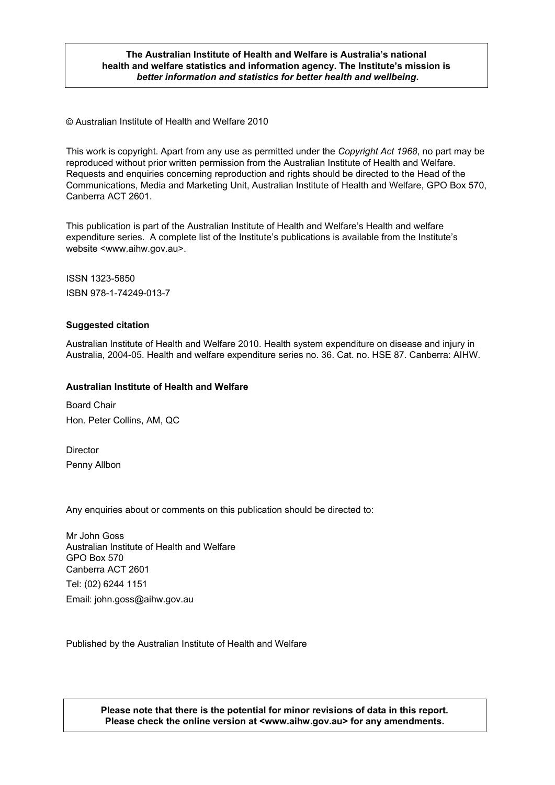#### **The Australian Institute of Health and Welfare is Australia's national health and welfare statistics and information agency. The Institute's mission is**  *better information and statistics for better health and wellbeing***.**

© Australian Institute of Health and Welfare 2010

This work is copyright. Apart from any use as permitted under the *Copyright Act 1968*, no part may be reproduced without prior written permission from the Australian Institute of Health and Welfare. Requests and enquiries concerning reproduction and rights should be directed to the Head of the Communications, Media and Marketing Unit, Australian Institute of Health and Welfare, GPO Box 570, Canberra ACT 2601.

This publication is part of the Australian Institute of Health and Welfare's Health and welfare expenditure series. A complete list of the Institute's publications is available from the Institute's website <www.aihw.gov.au>.

ISSN 1323-5850 ISBN 978-1-74249-013-7

#### **Suggested citation**

Australian Institute of Health and Welfare 2010. Health system expenditure on disease and injury in Australia, 2004-05. Health and welfare expenditure series no. 36. Cat. no. HSE 87. Canberra: AIHW.

#### **Australian Institute of Health and Welfare**

Board Chair Hon. Peter Collins, AM, QC

**Director** Penny Allbon

Any enquiries about or comments on this publication should be directed to:

Mr John Goss Australian Institute of Health and Welfare GPO Box 570 Canberra ACT 2601

Tel: (02) 6244 1151 Email: john.goss@aihw.gov.au

Published by the Australian Institute of Health and Welfare

**Please note that there is the potential for minor revisions of data in this report. Please check the online version at <www.aihw.gov.au> for any amendments.**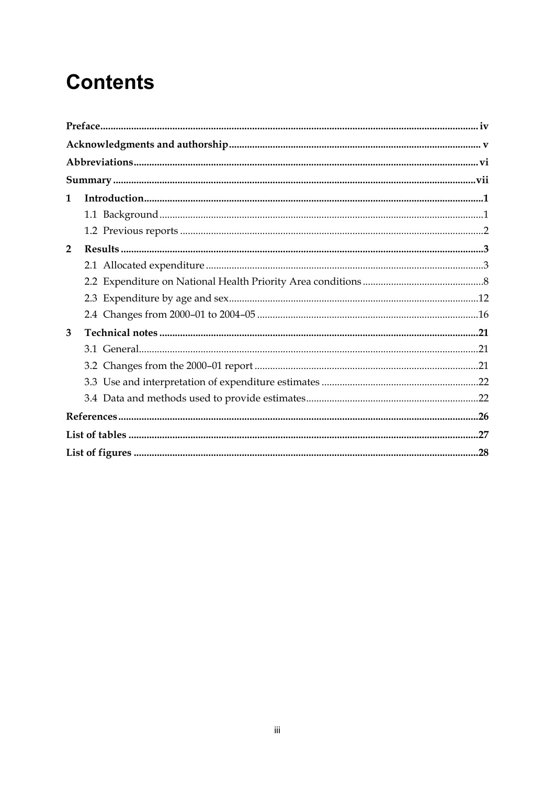# **Contents**

| 1            |  |
|--------------|--|
|              |  |
|              |  |
| $\mathbf{2}$ |  |
|              |  |
|              |  |
|              |  |
|              |  |
| 3            |  |
|              |  |
|              |  |
|              |  |
|              |  |
|              |  |
|              |  |
|              |  |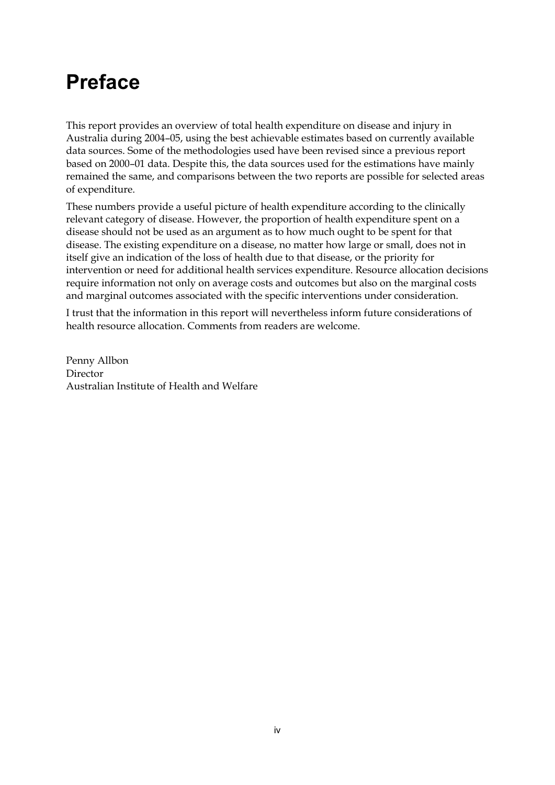# <span id="page-3-0"></span>**Preface**

This report provides an overview of total health expenditure on disease and injury in Australia during 2004–05, using the best achievable estimates based on currently available data sources. Some of the methodologies used have been revised since a previous report based on 2000–01 data. Despite this, the data sources used for the estimations have mainly remained the same, and comparisons between the two reports are possible for selected areas of expenditure.

These numbers provide a useful picture of health expenditure according to the clinically relevant category of disease. However, the proportion of health expenditure spent on a disease should not be used as an argument as to how much ought to be spent for that disease. The existing expenditure on a disease, no matter how large or small, does not in itself give an indication of the loss of health due to that disease, or the priority for intervention or need for additional health services expenditure. Resource allocation decisions require information not only on average costs and outcomes but also on the marginal costs and marginal outcomes associated with the specific interventions under consideration.

I trust that the information in this report will nevertheless inform future considerations of health resource allocation. Comments from readers are welcome.

Penny Allbon Director Australian Institute of Health and Welfare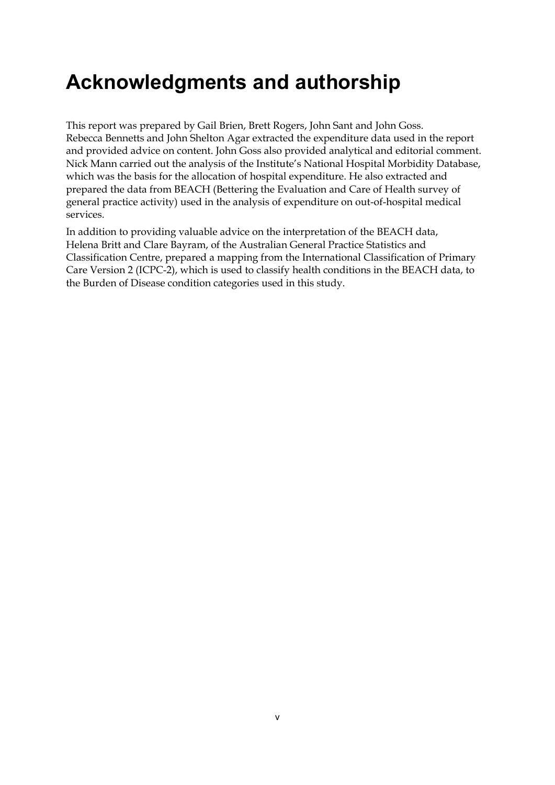# <span id="page-4-0"></span>**Acknowledgments and authorship**

This report was prepared by Gail Brien, Brett Rogers, John Sant and John Goss. Rebecca Bennetts and John Shelton Agar extracted the expenditure data used in the report and provided advice on content. John Goss also provided analytical and editorial comment. Nick Mann carried out the analysis of the Institute's National Hospital Morbidity Database, which was the basis for the allocation of hospital expenditure. He also extracted and prepared the data from BEACH (Bettering the Evaluation and Care of Health survey of general practice activity) used in the analysis of expenditure on out-of-hospital medical services.

In addition to providing valuable advice on the interpretation of the BEACH data, Helena Britt and Clare Bayram, of the Australian General Practice Statistics and Classification Centre, prepared a mapping from the International Classification of Primary Care Version 2 (ICPC-2), which is used to classify health conditions in the BEACH data, to the Burden of Disease condition categories used in this study.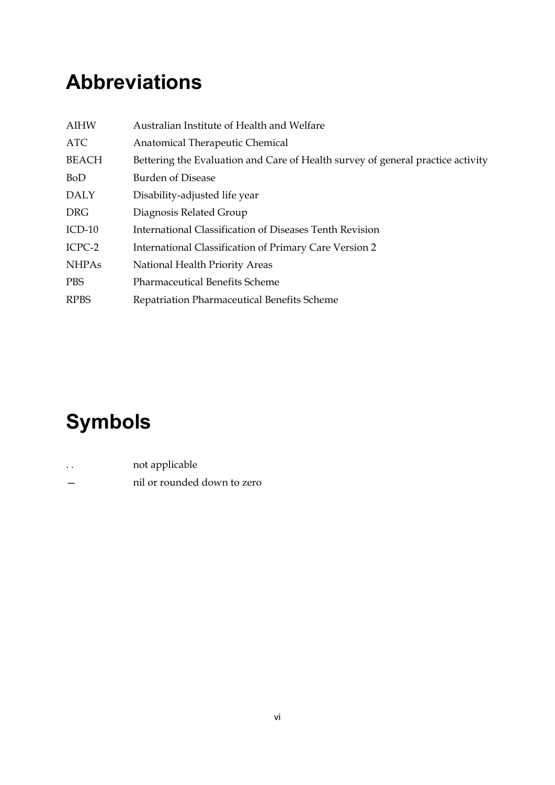# <span id="page-5-0"></span>**Abbreviations**

| <b>AIHW</b>  | Australian Institute of Health and Welfare                                      |
|--------------|---------------------------------------------------------------------------------|
| <b>ATC</b>   | Anatomical Therapeutic Chemical                                                 |
| <b>BEACH</b> | Bettering the Evaluation and Care of Health survey of general practice activity |
| <b>BoD</b>   | <b>Burden of Disease</b>                                                        |
| <b>DALY</b>  | Disability-adjusted life year                                                   |
| <b>DRG</b>   | Diagnosis Related Group                                                         |
| $ICD-10$     | International Classification of Diseases Tenth Revision                         |
| ICPC-2       | International Classification of Primary Care Version 2                          |
| <b>NHPAs</b> | National Health Priority Areas                                                  |
| <b>PBS</b>   | <b>Pharmaceutical Benefits Scheme</b>                                           |
| <b>RPBS</b>  | Repatriation Pharmaceutical Benefits Scheme                                     |

# **Symbols**

|  | not applicable |
|--|----------------|
|  |                |

— nil or rounded down to zero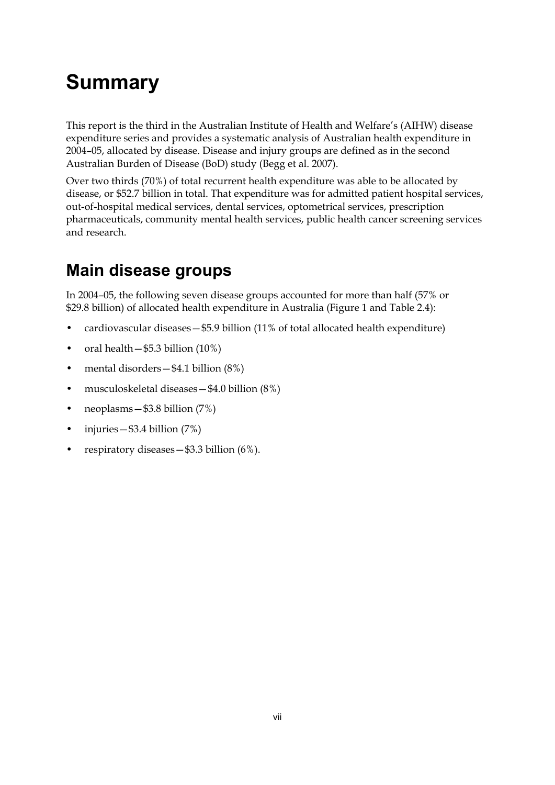# <span id="page-6-0"></span>**Summary**

This report is the third in the Australian Institute of Health and Welfare's (AIHW) disease expenditure series and provides a systematic analysis of Australian health expenditure in 2004–05, allocated by disease. Disease and injury groups are defined as in the second Australian Burden of Disease (BoD) study (Begg et al. 2007).

Over two thirds (70%) of total recurrent health expenditure was able to be allocated by disease, or \$52.7 billion in total. That expenditure was for admitted patient hospital services, out-of-hospital medical services, dental services, optometrical services, prescription pharmaceuticals, community mental health services, public health cancer screening services and research.

## **Main disease groups**

In 2004–05, the following seven disease groups accounted for more than half (57% or \$29.8 billion) of allocated health expenditure in Australia (Figure 1 and Table 2.4):

- cardiovascular diseases—\$5.9 billion (11% of total allocated health expenditure)
- oral health \$5.3 billion (10%)
- mental disorders \$4.1 billion (8%)
- musculoskeletal diseases—\$4.0 billion (8%)
- neoplasms \$3.8 billion (7%)
- injuries  $-$  \$3.4 billion (7%)
- respiratory diseases \$3.3 billion (6%).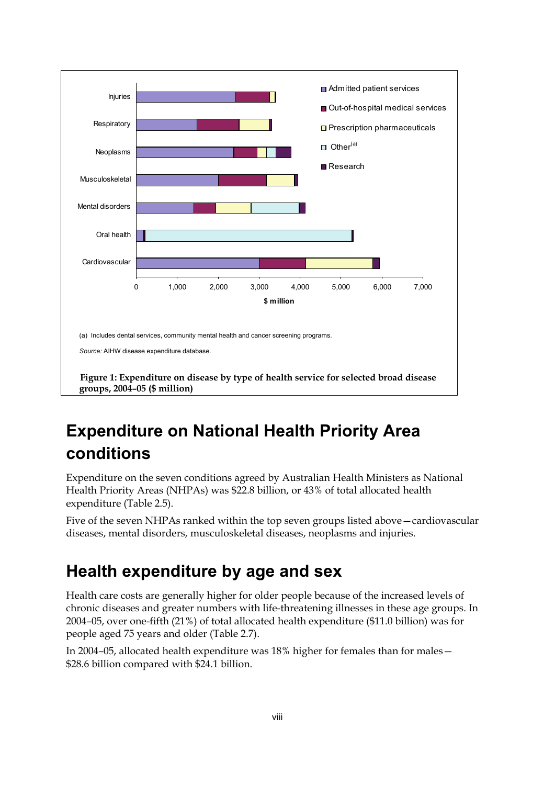

## <span id="page-7-0"></span>**Expenditure on National Health Priority Area conditions**

Expenditure on the seven conditions agreed by Australian Health Ministers as National Health Priority Areas (NHPAs) was \$22.8 billion, or 43% of total allocated health expenditure (Table 2.5).

Five of the seven NHPAs ranked within the top seven groups listed above—cardiovascular diseases, mental disorders, musculoskeletal diseases, neoplasms and injuries.

### **Health expenditure by age and sex**

Health care costs are generally higher for older people because of the increased levels of chronic diseases and greater numbers with life-threatening illnesses in these age groups. In 2004–05, over one-fifth (21%) of total allocated health expenditure (\$11.0 billion) was for people aged 75 years and older (Table 2.7).

In 2004–05, allocated health expenditure was 18% higher for females than for males— \$28.6 billion compared with \$24.1 billion.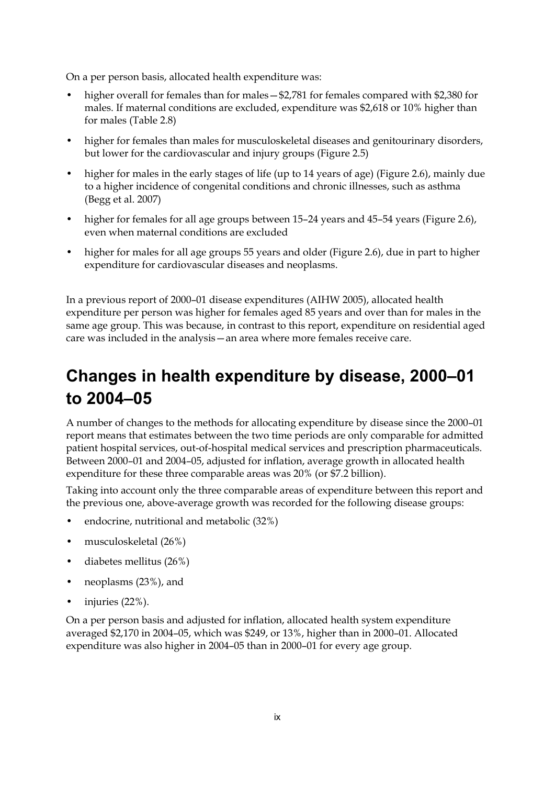On a per person basis, allocated health expenditure was:

- higher overall for females than for males—\$2,781 for females compared with \$2,380 for males. If maternal conditions are excluded, expenditure was \$2,618 or 10% higher than for males (Table 2.8)
- higher for females than males for musculoskeletal diseases and genitourinary disorders, but lower for the cardiovascular and injury groups (Figure 2.5)
- higher for males in the early stages of life (up to 14 years of age) (Figure 2.6), mainly due to a higher incidence of congenital conditions and chronic illnesses, such as asthma (Begg et al. 2007)
- higher for females for all age groups between 15–24 years and 45–54 years (Figure 2.6), even when maternal conditions are excluded
- higher for males for all age groups 55 years and older (Figure 2.6), due in part to higher expenditure for cardiovascular diseases and neoplasms.

In a previous report of 2000–01 disease expenditures (AIHW 2005), allocated health expenditure per person was higher for females aged 85 years and over than for males in the same age group. This was because, in contrast to this report, expenditure on residential aged care was included in the analysis—an area where more females receive care.

## **Changes in health expenditure by disease, 2000–01 to 2004–05**

A number of changes to the methods for allocating expenditure by disease since the 2000–01 report means that estimates between the two time periods are only comparable for admitted patient hospital services, out-of-hospital medical services and prescription pharmaceuticals. Between 2000–01 and 2004–05, adjusted for inflation, average growth in allocated health expenditure for these three comparable areas was 20% (or \$7.2 billion).

Taking into account only the three comparable areas of expenditure between this report and the previous one, above-average growth was recorded for the following disease groups:

- endocrine, nutritional and metabolic (32%)
- musculoskeletal (26%)
- diabetes mellitus (26%)
- neoplasms (23%), and
- injuries (22%).

On a per person basis and adjusted for inflation, allocated health system expenditure averaged \$2,170 in 2004–05, which was \$249, or 13%, higher than in 2000–01. Allocated expenditure was also higher in 2004–05 than in 2000–01 for every age group.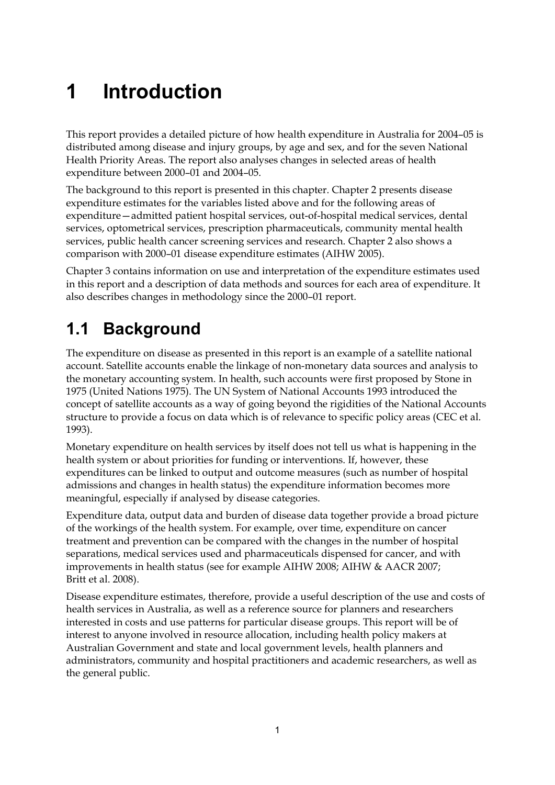# <span id="page-9-0"></span>**1 Introduction**

This report provides a detailed picture of how health expenditure in Australia for 2004–05 is distributed among disease and injury groups, by age and sex, and for the seven National Health Priority Areas. The report also analyses changes in selected areas of health expenditure between 2000–01 and 2004–05.

The background to this report is presented in this chapter. Chapter 2 presents disease expenditure estimates for the variables listed above and for the following areas of expenditure—admitted patient hospital services, out-of-hospital medical services, dental services, optometrical services, prescription pharmaceuticals, community mental health services, public health cancer screening services and research. Chapter 2 also shows a comparison with 2000–01 disease expenditure estimates (AIHW 2005).

Chapter 3 contains information on use and interpretation of the expenditure estimates used in this report and a description of data methods and sources for each area of expenditure. It also describes changes in methodology since the 2000–01 report.

## <span id="page-9-1"></span>**1.1 Background**

The expenditure on disease as presented in this report is an example of a satellite national account. Satellite accounts enable the linkage of non-monetary data sources and analysis to the monetary accounting system. In health, such accounts were first proposed by Stone in 1975 (United Nations 1975). The UN System of National Accounts 1993 introduced the concept of satellite accounts as a way of going beyond the rigidities of the National Accounts structure to provide a focus on data which is of relevance to specific policy areas (CEC et al. 1993).

Monetary expenditure on health services by itself does not tell us what is happening in the health system or about priorities for funding or interventions. If, however, these expenditures can be linked to output and outcome measures (such as number of hospital admissions and changes in health status) the expenditure information becomes more meaningful, especially if analysed by disease categories.

Expenditure data, output data and burden of disease data together provide a broad picture of the workings of the health system. For example, over time, expenditure on cancer treatment and prevention can be compared with the changes in the number of hospital separations, medical services used and pharmaceuticals dispensed for cancer, and with improvements in health status (see for example AIHW 2008; AIHW & AACR 2007; Britt et al. 2008).

Disease expenditure estimates, therefore, provide a useful description of the use and costs of health services in Australia, as well as a reference source for planners and researchers interested in costs and use patterns for particular disease groups. This report will be of interest to anyone involved in resource allocation, including health policy makers at Australian Government and state and local government levels, health planners and administrators, community and hospital practitioners and academic researchers, as well as the general public.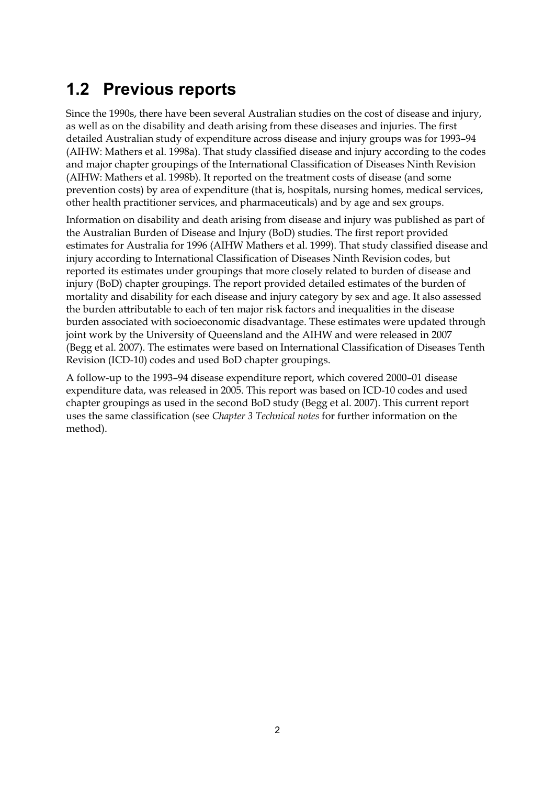## <span id="page-10-0"></span>**1.2 Previous reports**

Since the 1990s, there have been several Australian studies on the cost of disease and injury, as well as on the disability and death arising from these diseases and injuries. The first detailed Australian study of expenditure across disease and injury groups was for 1993–94 (AIHW: Mathers et al. 1998a). That study classified disease and injury according to the codes and major chapter groupings of the International Classification of Diseases Ninth Revision (AIHW: Mathers et al. 1998b). It reported on the treatment costs of disease (and some prevention costs) by area of expenditure (that is, hospitals, nursing homes, medical services, other health practitioner services, and pharmaceuticals) and by age and sex groups.

Information on disability and death arising from disease and injury was published as part of the Australian Burden of Disease and Injury (BoD) studies. The first report provided estimates for Australia for 1996 (AIHW Mathers et al. 1999). That study classified disease and injury according to International Classification of Diseases Ninth Revision codes, but reported its estimates under groupings that more closely related to burden of disease and injury (BoD) chapter groupings. The report provided detailed estimates of the burden of mortality and disability for each disease and injury category by sex and age. It also assessed the burden attributable to each of ten major risk factors and inequalities in the disease burden associated with socioeconomic disadvantage. These estimates were updated through joint work by the University of Queensland and the AIHW and were released in 2007 (Begg et al. 2007). The estimates were based on International Classification of Diseases Tenth Revision (ICD-10) codes and used BoD chapter groupings.

A follow-up to the 1993–94 disease expenditure report, which covered 2000–01 disease expenditure data, was released in 2005. This report was based on ICD-10 codes and used chapter groupings as used in the second BoD study (Begg et al. 2007). This current report uses the same classification (see *Chapter 3 Technical notes* for further information on the method).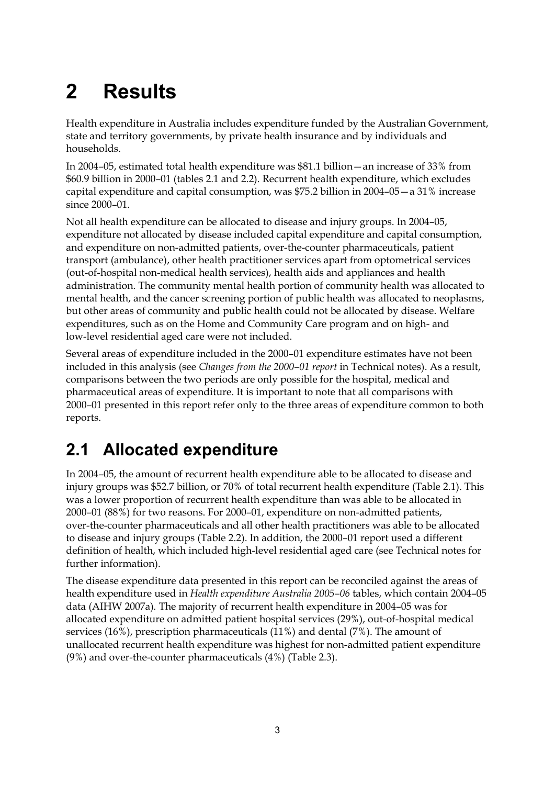# <span id="page-11-0"></span>**2 Results**

Health expenditure in Australia includes expenditure funded by the Australian Government, state and territory governments, by private health insurance and by individuals and households.

In 2004–05, estimated total health expenditure was \$81.1 billion—an increase of 33% from \$60.9 billion in 2000–01 (tables 2.1 and 2.2). Recurrent health expenditure, which excludes capital expenditure and capital consumption, was \$75.2 billion in 2004–05—a 31% increase since 2000–01.

Not all health expenditure can be allocated to disease and injury groups. In 2004–05, expenditure not allocated by disease included capital expenditure and capital consumption, and expenditure on non-admitted patients, over-the-counter pharmaceuticals, patient transport (ambulance), other health practitioner services apart from optometrical services (out-of-hospital non-medical health services), health aids and appliances and health administration. The community mental health portion of community health was allocated to mental health, and the cancer screening portion of public health was allocated to neoplasms, but other areas of community and public health could not be allocated by disease. Welfare expenditures, such as on the Home and Community Care program and on high- and low-level residential aged care were not included.

Several areas of expenditure included in the 2000–01 expenditure estimates have not been included in this analysis (see *Changes from the 2000–01 report* in Technical notes). As a result, comparisons between the two periods are only possible for the hospital, medical and pharmaceutical areas of expenditure. It is important to note that all comparisons with 2000–01 presented in this report refer only to the three areas of expenditure common to both reports.

## <span id="page-11-1"></span>**2.1 Allocated expenditure**

In 2004–05, the amount of recurrent health expenditure able to be allocated to disease and injury groups was \$52.7 billion, or 70% of total recurrent health expenditure (Table 2.1). This was a lower proportion of recurrent health expenditure than was able to be allocated in 2000–01 (88%) for two reasons. For 2000–01, expenditure on non-admitted patients, over-the-counter pharmaceuticals and all other health practitioners was able to be allocated to disease and injury groups (Table 2.2). In addition, the 2000–01 report used a different definition of health, which included high-level residential aged care (see Technical notes for further information).

The disease expenditure data presented in this report can be reconciled against the areas of health expenditure used in *Health expenditure Australia 2005–06* tables, which contain 2004–05 data (AIHW 2007a)*.* The majority of recurrent health expenditure in 2004–05 was for allocated expenditure on admitted patient hospital services (29%), out-of-hospital medical services (16%), prescription pharmaceuticals (11%) and dental (7%). The amount of unallocated recurrent health expenditure was highest for non-admitted patient expenditure (9%) and over-the-counter pharmaceuticals (4%) (Table 2.3).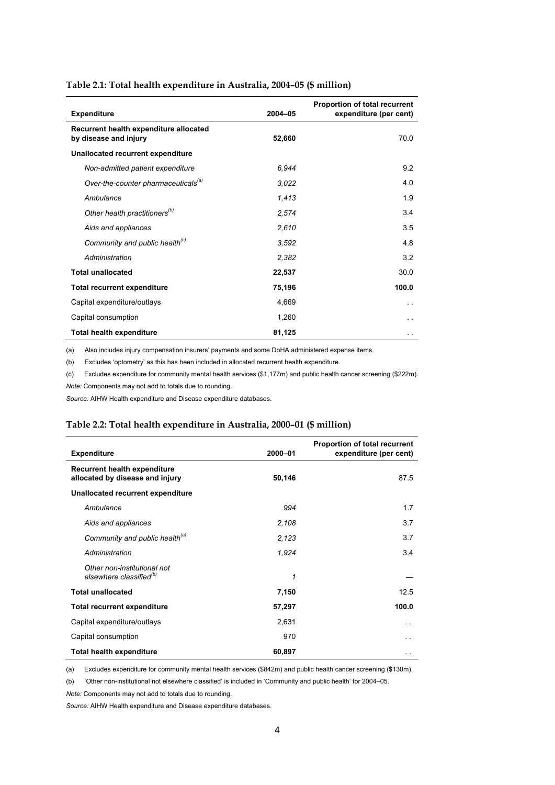<span id="page-12-0"></span>

| <b>Expenditure</b>                                              | 2004-05 | Proportion of total recurrent<br>expenditure (per cent) |
|-----------------------------------------------------------------|---------|---------------------------------------------------------|
| Recurrent health expenditure allocated<br>by disease and injury | 52,660  | 70.0                                                    |
| Unallocated recurrent expenditure                               |         |                                                         |
| Non-admitted patient expenditure                                | 6.944   | 9.2                                                     |
| Over-the-counter pharmaceuticals <sup>(a)</sup>                 | 3.022   | 4.0                                                     |
| Ambulance                                                       | 1,413   | 1.9                                                     |
| Other health practitioners <sup>(b)</sup>                       | 2,574   | 3.4                                                     |
| Aids and appliances                                             | 2,610   | 3.5                                                     |
| Community and public health <sup>(c)</sup>                      | 3.592   | 4.8                                                     |
| Administration                                                  | 2,382   | 3.2                                                     |
| <b>Total unallocated</b>                                        | 22,537  | 30.0                                                    |
| <b>Total recurrent expenditure</b>                              | 75,196  | 100.0                                                   |
| Capital expenditure/outlays                                     | 4,669   | . .                                                     |
| Capital consumption                                             | 1,260   |                                                         |
| <b>Total health expenditure</b>                                 | 81,125  |                                                         |

(a) Also includes injury compensation insurers' payments and some DoHA administered expense items.

(b) Excludes 'optometry' as this has been included in allocated recurrent health expenditure.

(c) Excludes expenditure for community mental health services (\$1,177m) and public health cancer screening (\$222m). *Note:* Components may not add to totals due to rounding.

*Source:* AIHW Health expenditure and Disease expenditure databases.

#### <span id="page-12-1"></span>**Table 2.2: Total health expenditure in Australia, 2000–01 (\$ million)**

| <b>Expenditure</b>                                                     | 2000-01 | Proportion of total recurrent<br>expenditure (per cent) |
|------------------------------------------------------------------------|---------|---------------------------------------------------------|
| <b>Recurrent health expenditure</b><br>allocated by disease and injury | 50,146  | 87.5                                                    |
| Unallocated recurrent expenditure                                      |         |                                                         |
| Ambulance                                                              | 994     | 1.7                                                     |
| Aids and appliances                                                    | 2,108   | 3.7                                                     |
| Community and public health <sup>(a)</sup>                             | 2,123   | 3.7                                                     |
| Administration                                                         | 1,924   | 3.4                                                     |
| Other non-institutional not<br>elsewhere classified <sup>(b)</sup>     | 1       |                                                         |
| <b>Total unallocated</b>                                               | 7,150   | 12.5                                                    |
| <b>Total recurrent expenditure</b>                                     | 57,297  | 100.0                                                   |
| Capital expenditure/outlays                                            | 2,631   | $\sim$                                                  |
| Capital consumption                                                    | 970     | . .                                                     |
| <b>Total health expenditure</b>                                        | 60,897  | $\ddot{\phantom{1}}$                                    |

(a) Excludes expenditure for community mental health services (\$842m) and public health cancer screening (\$130m).

(b) 'Other non-institutional not elsewhere classified' is included in 'Community and public health' for 2004–05.

*Note:* Components may not add to totals due to rounding.

*Source:* AIHW Health expenditure and Disease expenditure databases.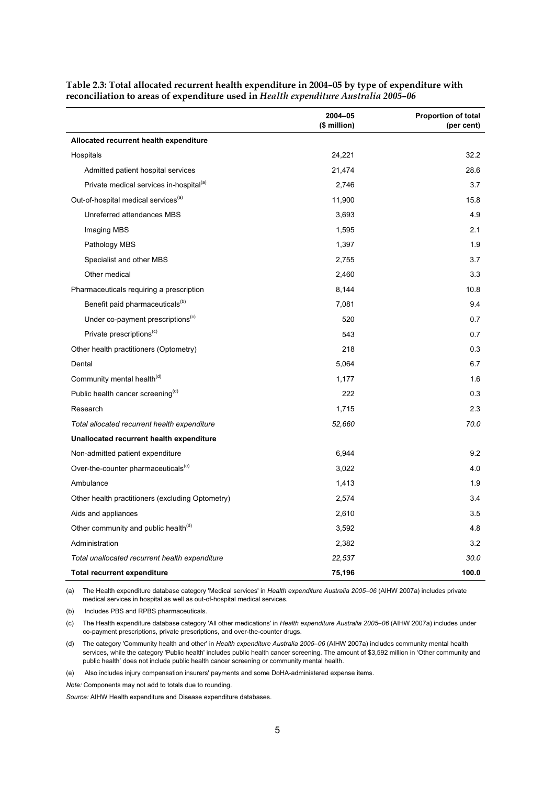|                                                     | 2004-05<br>(\$ million) | <b>Proportion of total</b><br>(per cent) |
|-----------------------------------------------------|-------------------------|------------------------------------------|
| Allocated recurrent health expenditure              |                         |                                          |
| Hospitals                                           | 24,221                  | 32.2                                     |
| Admitted patient hospital services                  | 21,474                  | 28.6                                     |
| Private medical services in-hospital <sup>(a)</sup> | 2,746                   | 3.7                                      |
| Out-of-hospital medical services <sup>(a)</sup>     | 11,900                  | 15.8                                     |
| Unreferred attendances MBS                          | 3,693                   | 4.9                                      |
| Imaging MBS                                         | 1,595                   | 2.1                                      |
| Pathology MBS                                       | 1,397                   | 1.9                                      |
| Specialist and other MBS                            | 2,755                   | 3.7                                      |
| Other medical                                       | 2,460                   | 3.3                                      |
| Pharmaceuticals requiring a prescription            | 8,144                   | 10.8                                     |
| Benefit paid pharmaceuticals <sup>(b)</sup>         | 7,081                   | 9.4                                      |
| Under co-payment prescriptions <sup>(c)</sup>       | 520                     | 0.7                                      |
| Private prescriptions <sup>(c)</sup>                | 543                     | 0.7                                      |
| Other health practitioners (Optometry)              | 218                     | 0.3                                      |
| Dental                                              | 5,064                   | 6.7                                      |
| Community mental health <sup>(d)</sup>              | 1,177                   | 1.6                                      |
| Public health cancer screening <sup>(d)</sup>       | 222                     | 0.3                                      |
| Research                                            | 1,715                   | 2.3                                      |
| Total allocated recurrent health expenditure        | 52,660                  | 70.0                                     |
| Unallocated recurrent health expenditure            |                         |                                          |
| Non-admitted patient expenditure                    | 6,944                   | 9.2                                      |
| Over-the-counter pharmaceuticals <sup>(e)</sup>     | 3,022                   | 4.0                                      |
| Ambulance                                           | 1,413                   | 1.9                                      |
| Other health practitioners (excluding Optometry)    | 2,574                   | 3.4                                      |
| Aids and appliances                                 | 2,610                   | 3.5                                      |
| Other community and public health <sup>(d)</sup>    | 3,592                   | 4.8                                      |
| Administration                                      | 2,382                   | 3.2                                      |
| Total unallocated recurrent health expenditure      | 22,537                  | 30.0                                     |
| <b>Total recurrent expenditure</b>                  | 75,196                  | 100.0                                    |

<span id="page-13-0"></span>**Table 2.3: Total allocated recurrent health expenditure in 2004–05 by type of expenditure with reconciliation to areas of expenditure used in** *Health expenditure Australia 2005–06*

(a) The Health expenditure database category 'Medical services' in *Health expenditure Australia 2005–06* (AIHW 2007a) includes private medical services in hospital as well as out-of-hospital medical services.

(b) Includes PBS and RPBS pharmaceuticals.

(c) The Health expenditure database category 'All other medications' in *Health expenditure Australia 2005–06* (AIHW 2007a) includes under co-payment prescriptions, private prescriptions, and over-the-counter drugs.

(d) The category 'Community health and other' in *Health expenditure Australia 2005–06* (AIHW 2007a) includes community mental health services, while the category 'Public health' includes public health cancer screening. The amount of \$3,592 million in 'Other community and public health' does not include public health cancer screening or community mental health.

(e) Also includes injury compensation insurers' payments and some DoHA-administered expense items.

*Note:* Components may not add to totals due to rounding.

*Source:* AIHW Health expenditure and Disease expenditure databases.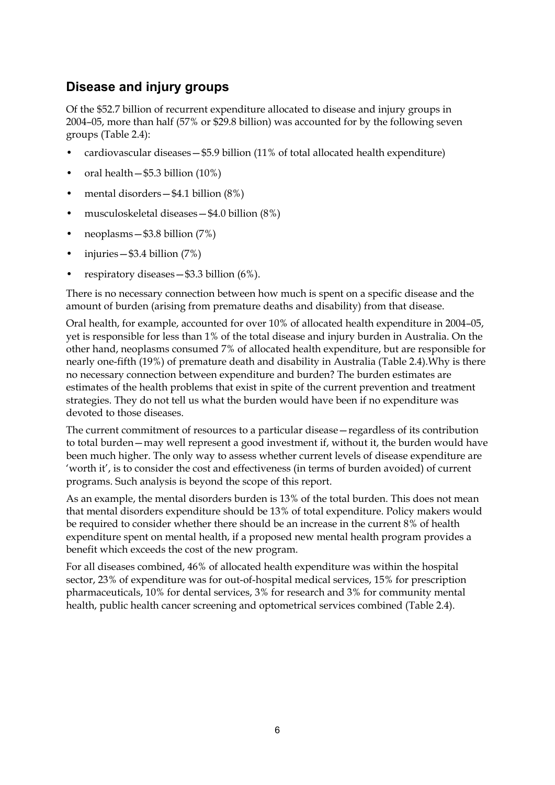### **Disease and injury groups**

Of the \$52.7 billion of recurrent expenditure allocated to disease and injury groups in 2004–05, more than half (57% or \$29.8 billion) was accounted for by the following seven groups (Table 2.4):

- cardiovascular diseases—\$5.9 billion (11% of total allocated health expenditure)
- oral health \$5.3 billion (10%)
- mental disorders \$4.1 billion (8%)
- musculoskeletal diseases—\$4.0 billion (8%)
- neoplasms—\$3.8 billion (7%)
- injuries  $-$  \$3.4 billion  $(7%)$
- respiratory diseases  $-$  \$3.3 billion (6%).

There is no necessary connection between how much is spent on a specific disease and the amount of burden (arising from premature deaths and disability) from that disease.

Oral health, for example, accounted for over 10% of allocated health expenditure in 2004–05, yet is responsible for less than 1% of the total disease and injury burden in Australia. On the other hand, neoplasms consumed 7% of allocated health expenditure, but are responsible for nearly one-fifth (19%) of premature death and disability in Australia (Table 2.4).Why is there no necessary connection between expenditure and burden? The burden estimates are estimates of the health problems that exist in spite of the current prevention and treatment strategies. They do not tell us what the burden would have been if no expenditure was devoted to those diseases.

The current commitment of resources to a particular disease—regardless of its contribution to total burden—may well represent a good investment if, without it, the burden would have been much higher. The only way to assess whether current levels of disease expenditure are 'worth it', is to consider the cost and effectiveness (in terms of burden avoided) of current programs. Such analysis is beyond the scope of this report.

As an example, the mental disorders burden is 13% of the total burden. This does not mean that mental disorders expenditure should be 13% of total expenditure. Policy makers would be required to consider whether there should be an increase in the current 8% of health expenditure spent on mental health, if a proposed new mental health program provides a benefit which exceeds the cost of the new program.

For all diseases combined, 46% of allocated health expenditure was within the hospital sector, 23% of expenditure was for out-of-hospital medical services, 15% for prescription pharmaceuticals, 10% for dental services, 3% for research and 3% for community mental health, public health cancer screening and optometrical services combined (Table 2.4).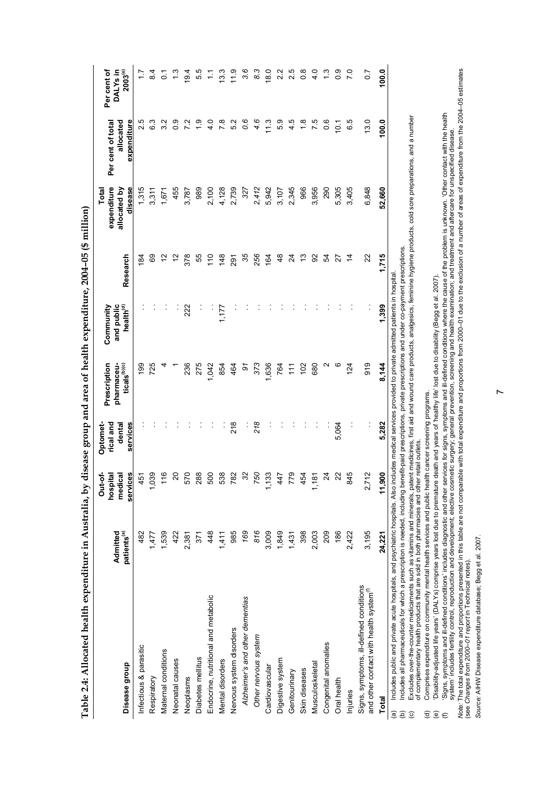| $\sim$ $\sim$ $\sim$                                                                                                                                                                                                           |
|--------------------------------------------------------------------------------------------------------------------------------------------------------------------------------------------------------------------------------|
|                                                                                                                                                                                                                                |
|                                                                                                                                                                                                                                |
|                                                                                                                                                                                                                                |
|                                                                                                                                                                                                                                |
|                                                                                                                                                                                                                                |
|                                                                                                                                                                                                                                |
|                                                                                                                                                                                                                                |
| l                                                                                                                                                                                                                              |
|                                                                                                                                                                                                                                |
| ゚                                                                                                                                                                                                                              |
|                                                                                                                                                                                                                                |
|                                                                                                                                                                                                                                |
|                                                                                                                                                                                                                                |
|                                                                                                                                                                                                                                |
|                                                                                                                                                                                                                                |
| ;;<br>;                                                                                                                                                                                                                        |
|                                                                                                                                                                                                                                |
|                                                                                                                                                                                                                                |
|                                                                                                                                                                                                                                |
|                                                                                                                                                                                                                                |
|                                                                                                                                                                                                                                |
|                                                                                                                                                                                                                                |
| l                                                                                                                                                                                                                              |
|                                                                                                                                                                                                                                |
|                                                                                                                                                                                                                                |
|                                                                                                                                                                                                                                |
|                                                                                                                                                                                                                                |
|                                                                                                                                                                                                                                |
|                                                                                                                                                                                                                                |
|                                                                                                                                                                                                                                |
|                                                                                                                                                                                                                                |
| エー・コート きょう アライカ えきかくそう クラクシャー                                                                                                                                                                                                  |
|                                                                                                                                                                                                                                |
| ;<br>;<br>;                                                                                                                                                                                                                    |
| .<br>;<br>!                                                                                                                                                                                                                    |
|                                                                                                                                                                                                                                |
|                                                                                                                                                                                                                                |
|                                                                                                                                                                                                                                |
|                                                                                                                                                                                                                                |
|                                                                                                                                                                                                                                |
|                                                                                                                                                                                                                                |
| in the contract of the contract of the contract of the contract of the contract of the contract of the contract of the contract of the contract of the contract of the contract of the contract of the contract of the contrac |
|                                                                                                                                                                                                                                |
|                                                                                                                                                                                                                                |
|                                                                                                                                                                                                                                |
|                                                                                                                                                                                                                                |
|                                                                                                                                                                                                                                |
|                                                                                                                                                                                                                                |
|                                                                                                                                                                                                                                |
|                                                                                                                                                                                                                                |
| l                                                                                                                                                                                                                              |
|                                                                                                                                                                                                                                |
|                                                                                                                                                                                                                                |
|                                                                                                                                                                                                                                |
| alth e                                                                                                                                                                                                                         |
|                                                                                                                                                                                                                                |
|                                                                                                                                                                                                                                |
|                                                                                                                                                                                                                                |
|                                                                                                                                                                                                                                |
|                                                                                                                                                                                                                                |
|                                                                                                                                                                                                                                |
|                                                                                                                                                                                                                                |
|                                                                                                                                                                                                                                |
|                                                                                                                                                                                                                                |
|                                                                                                                                                                                                                                |
|                                                                                                                                                                                                                                |
|                                                                                                                                                                                                                                |
|                                                                                                                                                                                                                                |
|                                                                                                                                                                                                                                |

<span id="page-15-0"></span>

| Disease group                                                                                                                                                                                                                                                                                                                                                 | Admitted<br>patients <sup>(a)</sup> | services<br>Out-of-<br>hospital<br>medical | services<br>rical and<br>dental<br><b>Optomet</b> | Prescription<br>pharmaceu-<br>ticals <sup>(b)(c)</sup> | health $^{(d)}$<br>Community<br>and public | Research       | expenditure<br>allocated by<br>disease<br>Total | allocated<br>expenditure<br>Per cent of total | $2003^{(e)}$<br>Per cent of<br>DALY <sub>s</sub> in |
|---------------------------------------------------------------------------------------------------------------------------------------------------------------------------------------------------------------------------------------------------------------------------------------------------------------------------------------------------------------|-------------------------------------|--------------------------------------------|---------------------------------------------------|--------------------------------------------------------|--------------------------------------------|----------------|-------------------------------------------------|-----------------------------------------------|-----------------------------------------------------|
| Infectious & parasitic                                                                                                                                                                                                                                                                                                                                        | 482                                 | 451                                        |                                                   | 199                                                    |                                            | 184            | 1,315                                           | 2.5                                           | $\ddot{ }$ :                                        |
| Respiratory                                                                                                                                                                                                                                                                                                                                                   | 1,477                               | 1,039                                      |                                                   | 725                                                    |                                            | ගි             | 3,311                                           | ვ<br>ნ                                        | $\frac{4}{3}$                                       |
| Maternal conditions                                                                                                                                                                                                                                                                                                                                           | 1,539                               | 116                                        |                                                   |                                                        |                                            | 5              | 1,671                                           | s.s                                           | $\overline{c}$                                      |
| Neonatal causes                                                                                                                                                                                                                                                                                                                                               | 422                                 | 20                                         |                                                   |                                                        |                                            | 5              | 455                                             | ္ပီ                                           | م.<br>ب                                             |
| Neoplasms                                                                                                                                                                                                                                                                                                                                                     | 2,381                               | 570                                        |                                                   | 236                                                    | 222                                        | 378            | 3,787                                           |                                               | 19.4                                                |
| Diabetes mellitus                                                                                                                                                                                                                                                                                                                                             | 371                                 | 288                                        |                                                   | 275                                                    |                                            | 55             | 989                                             |                                               | 5.5                                                 |
| Endocrine, nutritional and metabolic                                                                                                                                                                                                                                                                                                                          | 448                                 | 500                                        |                                                   | 1,042                                                  |                                            | $\frac{0}{1}$  | 2,100                                           | $\frac{4}{1}$                                 | Ξ                                                   |
| Mental disorders                                                                                                                                                                                                                                                                                                                                              | 1,411                               | 538                                        |                                                   | 854                                                    | 1,177                                      | $\frac{48}{5}$ | 4,128                                           | $\overline{78}$                               | 13.3                                                |
| Nervous system disorders                                                                                                                                                                                                                                                                                                                                      | 985                                 | 29                                         | $\frac{8}{2}$                                     | 464                                                    |                                            | ନ୍ଥି           | 2,739                                           | 52                                            | $\frac{9}{11}$                                      |
| Alzheimer's and other dementias                                                                                                                                                                                                                                                                                                                               | 169                                 | $\mathfrak{Z}$                             |                                                   | 5                                                      |                                            | 35             | 327                                             | 0.6                                           | 3.6                                                 |
| Other nervous system                                                                                                                                                                                                                                                                                                                                          | 816                                 | 750                                        | 218                                               | 373                                                    |                                            | 256            | 2,412                                           | 4.6                                           | 83                                                  |
| Cardiovascular                                                                                                                                                                                                                                                                                                                                                | 3,009                               | 1,133                                      |                                                   | 1,636                                                  |                                            | 164            | 5,942                                           | <u>بہ</u>                                     | $\frac{0}{8}$                                       |
| Digestive system                                                                                                                                                                                                                                                                                                                                              | 1,849                               | 447                                        |                                                   | 764                                                    |                                            | $\frac{8}{3}$  | 3,107                                           | 53                                            | 22                                                  |
| Genitourinary                                                                                                                                                                                                                                                                                                                                                 | 1,431                               | 779                                        |                                                   | Ξ                                                      |                                            | 24             | 2,345                                           | 45                                            | 25                                                  |
| Skin diseases                                                                                                                                                                                                                                                                                                                                                 | 398                                 | 54<br>4                                    |                                                   | 102                                                    |                                            | చ              | 966                                             | $\frac{8}{1}$                                 | $\frac{8}{2}$                                       |
| Musculoskeletal                                                                                                                                                                                                                                                                                                                                               | 2,003                               | 1,181                                      |                                                   | 680                                                    |                                            | 92             | 3,956                                           | 7.5                                           | $\frac{0}{4}$                                       |
| Congenital anomalies                                                                                                                                                                                                                                                                                                                                          | 209                                 | $\overline{24}$                            |                                                   | N                                                      |                                            | 54             | 290                                             | 0.6                                           | $\frac{3}{2}$                                       |
| Oral health                                                                                                                                                                                                                                                                                                                                                   | 186                                 | 22                                         | 5,064                                             | ဖ                                                      |                                            | 27             | 5,305                                           | $\frac{1}{2}$                                 | $\frac{6}{2}$                                       |
| Injuries                                                                                                                                                                                                                                                                                                                                                      | 2,422                               | 845                                        |                                                   | 124                                                    |                                            | $\dot{4}$      | 3,405                                           | 65                                            | $\overline{70}$                                     |
| Signs, symptoms, ill-defined conditions<br>and other contact with health system <sup>(f)</sup>                                                                                                                                                                                                                                                                | 3,195                               | 2,712                                      | $\vdots$                                          | 919                                                    |                                            | 22             | 6,848                                           | 13.0                                          | $\sim$                                              |
| <b>Total</b>                                                                                                                                                                                                                                                                                                                                                  | 24,221                              | 11,900                                     | 5,282                                             | 8,144                                                  | 1,399                                      | 1,715          | 52,660                                          | 100.0                                         | 100.0                                               |
| Includes all pharmaceuticals for which a prescription is needed, including benefit-paid prescriptions, private prescriptions and under co-payment prescriptions<br>Includes public and private acute hospitals, and psychiatric hospitals. Also includes medical services provided to private admitted patients in hospital<br>$\widehat{e}$<br>$\widehat{a}$ |                                     |                                            |                                                   |                                                        |                                            |                |                                                 |                                               |                                                     |

Excludes over-the-counter medicaments such as vitamins and minerals, patent medicines, first aid and wound care products, analgesics, feminine hygiene products, cold sore preparations, and a number<br>of complementary health (c) Excludes over-the-counter medicaments such as vitamins and minerals, patent medicines, first aid and wound care products, analgesics, feminine hygiene products, cold sore preparations, and a number  $\widehat{\mathbf{c}}$ 

of complementary health products that are sold in both pharmacies and other retail outlets.

Comprises expenditure on community mental health services and public health cancer screening programs. (d) Comprises expenditure on community mental health services and public health cancer screening programs.

'Disability-adjusted life years' (DALYs) comprise years lost due to premature death and years of 'healthy life' lost due to disability (Begg et al. 2007). (e) 'Disability-adjusted life years' (DALYs) comprise years lost due to premature death and years of 'healthy life' lost due to disability (Begg et al. 2007).

'Signs, symptoms and ill-defined conditions' includes diagnostic and other services for signs, symptoms and ill-defined conditions where the cause of the problem is unknown. 'Other contact with the health<br>system' includes (f) 'Signs, symptoms and ill-defined conditions' includes diagnostic and other services for signs, symptoms and ill-defined conditions where the cause of the problem is unknown. 'Other contact with the health system' includes fertility control, reproduction and development; elective cosmetic surgery; general prevention, screening and health examination; and treatment and aftercare for unspecified disease.  $\widehat{\mathbb{E}}\ \widehat{\mathbb{E}}\ \widehat{\mathbb{E}}$ 

Note: The total expenditure and proportions presented in this table are not comparable with total expenditure and proportions from 2000–01 due to the exclusion of a number of areas of expenditure from the 2004–05 estimates Note: The total expenditure and proportions presented in this table are not comparable with total expenditure and proportions from 2000-01 due to the exclusion of a number of areas of expenditure from the 2004-05 estimates (see *Changes from 2000–01 report* in Technical notes).

Source: AIHW Disease expenditure database; Begg et al. 2007. *Source:* AIHW Disease expenditure database; Begg et al. 2007.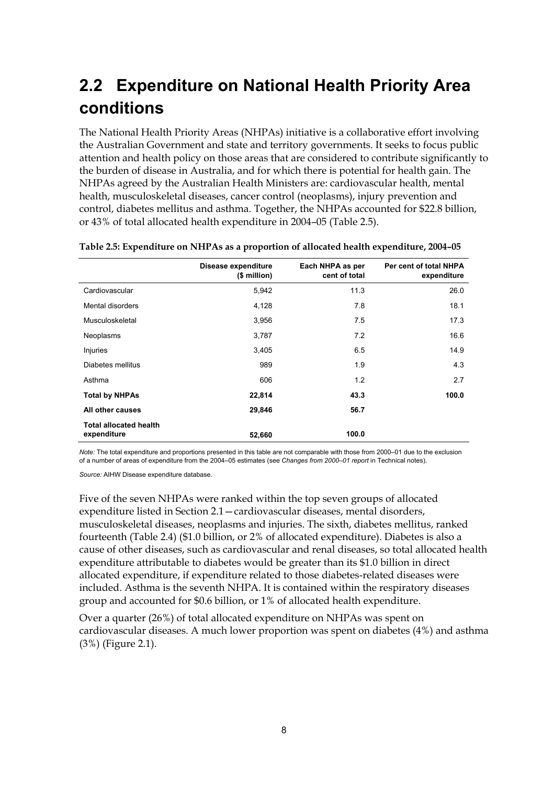## <span id="page-16-0"></span>**2.2 Expenditure on National Health Priority Area conditions**

The National Health Priority Areas (NHPAs) initiative is a collaborative effort involving the Australian Government and state and territory governments. It seeks to focus public attention and health policy on those areas that are considered to contribute significantly to the burden of disease in Australia, and for which there is potential for health gain. The NHPAs agreed by the Australian Health Ministers are: cardiovascular health, mental health, musculoskeletal diseases, cancer control (neoplasms), injury prevention and control, diabetes mellitus and asthma. Together, the NHPAs accounted for \$22.8 billion, or 43% of total allocated health expenditure in 2004–05 (Table 2.5).

|                                              | Disease expenditure<br>(\$ million) | Each NHPA as per<br>cent of total | Per cent of total NHPA<br>expenditure |
|----------------------------------------------|-------------------------------------|-----------------------------------|---------------------------------------|
| Cardiovascular                               | 5,942                               | 11.3                              | 26.0                                  |
| Mental disorders                             | 4,128                               | 7.8                               | 18.1                                  |
| Musculoskeletal                              | 3.956                               | 7.5                               | 17.3                                  |
| Neoplasms                                    | 3,787                               | 7.2                               | 16.6                                  |
| Injuries                                     | 3,405                               | 6.5                               | 14.9                                  |
| Diabetes mellitus                            | 989                                 | 1.9                               | 4.3                                   |
| Asthma                                       | 606                                 | 1.2                               | 2.7                                   |
| <b>Total by NHPAs</b>                        | 22,814                              | 43.3                              | 100.0                                 |
| All other causes                             | 29,846                              | 56.7                              |                                       |
| <b>Total allocated health</b><br>expenditure | 52,660                              | 100.0                             |                                       |

<span id="page-16-1"></span>**Table 2.5: Expenditure on NHPAs as a proportion of allocated health expenditure, 2004–05** 

*Note:* The total expenditure and proportions presented in this table are not comparable with those from 2000–01 due to the exclusion of a number of areas of expenditure from the 2004–05 estimates (see *Changes from 2000–01 report* in Technical notes).

*Source:* AIHW Disease expenditure database.

Five of the seven NHPAs were ranked within the top seven groups of allocated expenditure listed in Section 2.1—cardiovascular diseases, mental disorders, musculoskeletal diseases, neoplasms and injuries. The sixth, diabetes mellitus, ranked fourteenth (Table 2.4) (\$1.0 billion, or 2% of allocated expenditure). Diabetes is also a cause of other diseases, such as cardiovascular and renal diseases, so total allocated health expenditure attributable to diabetes would be greater than its \$1.0 billion in direct allocated expenditure, if expenditure related to those diabetes-related diseases were included. Asthma is the seventh NHPA. It is contained within the respiratory diseases group and accounted for \$0.6 billion, or 1% of allocated health expenditure.

Over a quarter (26%) of total allocated expenditure on NHPAs was spent on cardiovascular diseases. A much lower proportion was spent on diabetes (4%) and asthma (3%) (Figure 2.1).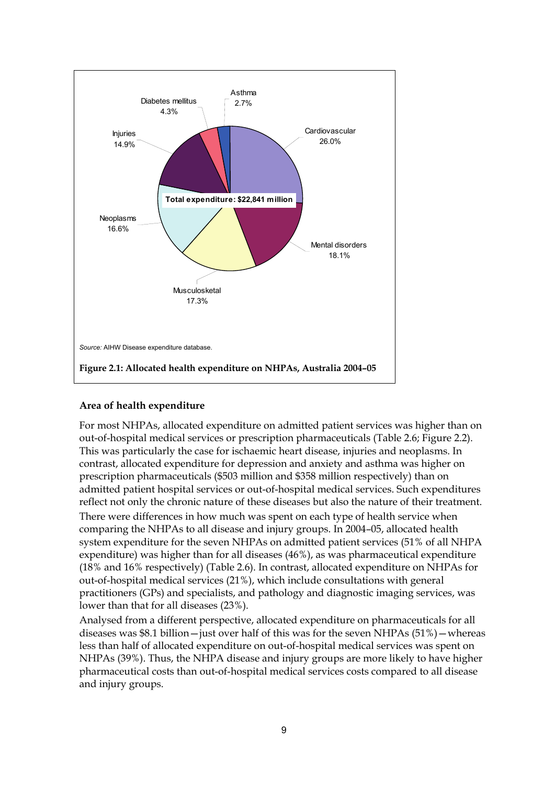

### <span id="page-17-0"></span>**Area of health expenditure**

For most NHPAs, allocated expenditure on admitted patient services was higher than on out-of-hospital medical services or prescription pharmaceuticals (Table 2.6; Figure 2.2). This was particularly the case for ischaemic heart disease, injuries and neoplasms. In contrast, allocated expenditure for depression and anxiety and asthma was higher on prescription pharmaceuticals (\$503 million and \$358 million respectively) than on admitted patient hospital services or out-of-hospital medical services. Such expenditures reflect not only the chronic nature of these diseases but also the nature of their treatment. There were differences in how much was spent on each type of health service when comparing the NHPAs to all disease and injury groups. In 2004–05, allocated health system expenditure for the seven NHPAs on admitted patient services (51% of all NHPA expenditure) was higher than for all diseases (46%), as was pharmaceutical expenditure (18% and 16% respectively) (Table 2.6). In contrast, allocated expenditure on NHPAs for out-of-hospital medical services (21%), which include consultations with general practitioners (GPs) and specialists, and pathology and diagnostic imaging services, was lower than that for all diseases (23%).

Analysed from a different perspective, allocated expenditure on pharmaceuticals for all diseases was \$8.1 billion — just over half of this was for the seven NHPAs  $(51\%)$  — whereas less than half of allocated expenditure on out-of-hospital medical services was spent on NHPAs (39%). Thus, the NHPA disease and injury groups are more likely to have higher pharmaceutical costs than out-of-hospital medical services costs compared to all disease and injury groups.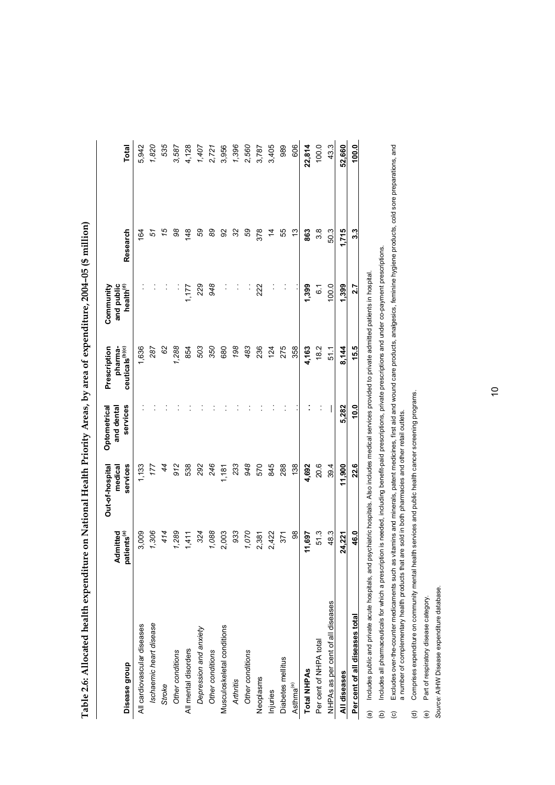| penditure on National Health Priority Areas, by area of expenditure, 2004-05 (\$ million) | Out_of hoe nited Ontomotrical Drogorintion Community |
|-------------------------------------------------------------------------------------------|------------------------------------------------------|

 $\overline{\phantom{a}}$ 

<span id="page-18-0"></span>

|                                                                                                                                                              | Admitted                | Out-of-hospital<br>medical | Optometrical<br>and dental | Prescription<br>pharma-     | and public<br>Community        |           |              |
|--------------------------------------------------------------------------------------------------------------------------------------------------------------|-------------------------|----------------------------|----------------------------|-----------------------------|--------------------------------|-----------|--------------|
| Disease group                                                                                                                                                | patients <sup>(a)</sup> | services                   | services                   | ceuticals <sup>(b)(c)</sup> | $\mathsf{health}^\mathrm{(d)}$ | Research  | <b>Total</b> |
| All cardiovascular diseases                                                                                                                                  | 3,009                   | 1,133                      |                            | 1,636                       |                                | 164       | 5,942        |
| Ischaemic heart disease                                                                                                                                      | 1,306                   | 177                        |                            | 287                         |                                | 5         | 1,820        |
| Stroke                                                                                                                                                       | 414                     | 44                         |                            | 62                          |                                | 15        | 535          |
| Other conditions                                                                                                                                             | 1,289                   | 912                        |                            | 1,288                       |                                | 8         | 3,587        |
| All mental disorders                                                                                                                                         | 1,411                   | 538                        |                            | 854                         | 1,177                          | 148       | 4,128        |
| Depression and anxiety                                                                                                                                       | 324                     | 292                        |                            | 503                         | 229                            | 59        | 1,407        |
| Other conditions                                                                                                                                             | 1,088                   | 246                        |                            | 350                         | 948                            | 89        | 2,721        |
| Musculoskeletal conditions                                                                                                                                   | 2,003                   | 1,187                      |                            | 680                         |                                | 92        | 3,956        |
| <b>Arthritis</b>                                                                                                                                             | 933                     | 233                        |                            | 198                         |                                | 3         | 1,396        |
| Other conditions                                                                                                                                             | 1,070                   | 948                        |                            | 483                         |                                | 59        | 2,560        |
| Neoplasms                                                                                                                                                    | 2,381                   | 570                        |                            | 236                         | 222                            | 378       | 3,787        |
| Injuries                                                                                                                                                     | 2,422                   | 845                        |                            | 124                         |                                | $\dot{4}$ | 3,405        |
| Diabetes mellitus                                                                                                                                            | 371                     | 288                        |                            | 275                         |                                | 55        | 989          |
| Asthma <sup>(e)</sup>                                                                                                                                        | 88                      | 138                        |                            | 358                         |                                | చ         | 606          |
| <b>Total NHPAs</b>                                                                                                                                           | 11,697                  | 4,692                      |                            | 4,163                       | 1,399                          | 863       | 22,814       |
| Per cent of NHPA total                                                                                                                                       | 513                     | 20.6                       |                            | 18.2                        | $\overline{6}$ .               | 38        | 100.0        |
| NHPAs as per cent of all diseases                                                                                                                            | 48.3                    | 39.4                       |                            | 51.1                        | 100.0                          | 503       | 43.3         |
| All diseases                                                                                                                                                 | 24,221                  | 11,900                     | 5,282                      | 8.144                       | 1,399                          | 1.715     | 52,660       |
| Per cent of all diseases total                                                                                                                               | 46.0                    | 22.6                       | 10.0                       | 15.5                        | 2.7                            | 3.3       | 100.0        |
| (a) Includes public and private acute hospitals, and psychiatric hospitals. Also includes medical services provided to private admitted patients in hospital |                         |                            |                            |                             |                                |           |              |

Includes all pharmaceuticals for which a prescription is needed, including benefit-paid prescriptions, private prescriptions and under co-payment prescriptions. (b) Includes all pharmaceuticals for which a prescription is needed, including benefit-paid prescriptions, private prescriptions and under co-payment prescriptions.  $\ddot{e}$ 

Excludes over-the-counter medicaments such as vitamins and minerals, patent medicines, first aid and wound care products, analgesics, feminine hygiene products, cold sore preparations, and<br>a number of complementary health (c) Excludes over-the-counter medicaments such as vitamins and minerals, patent medicines, first aid and wound care products, analgesics, feminine hygiene products, cold sore preparations, and a number of complementary health products that are sold in both pharmacies and other retail outlets.  $\ddot{c}$ 

Comprises expenditure on community mental health services and public health cancer screening programs. (d) Comprises expenditure on community mental health services and public health cancer screening programs.  $\widehat{\sigma}$ 

(e) Part of respiratory disease category. (e) Part of respiratory disease category.

Source: AIHW Disease expenditure database. *Source:* AIHW Disease expenditure database.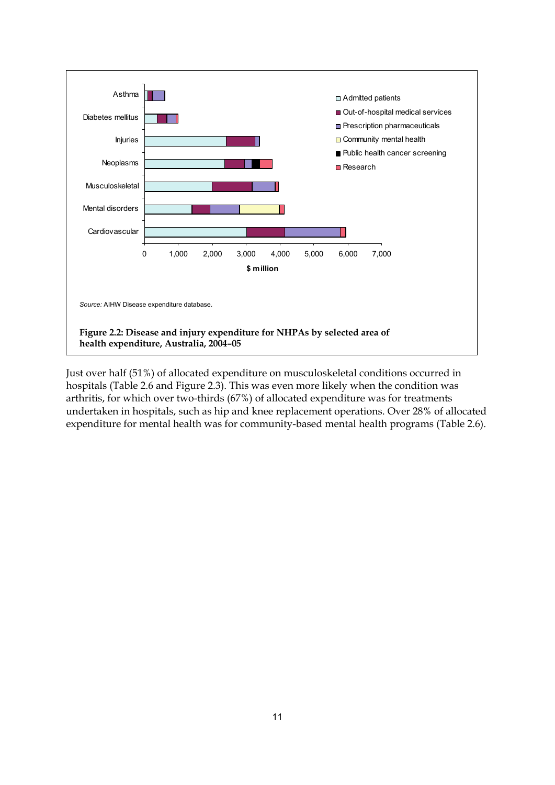

<span id="page-19-0"></span>Just over half (51%) of allocated expenditure on musculoskeletal conditions occurred in hospitals (Table 2.6 and Figure 2.3). This was even more likely when the condition was arthritis, for which over two-thirds (67%) of allocated expenditure was for treatments undertaken in hospitals, such as hip and knee replacement operations. Over 28% of allocated expenditure for mental health was for community-based mental health programs (Table 2.6).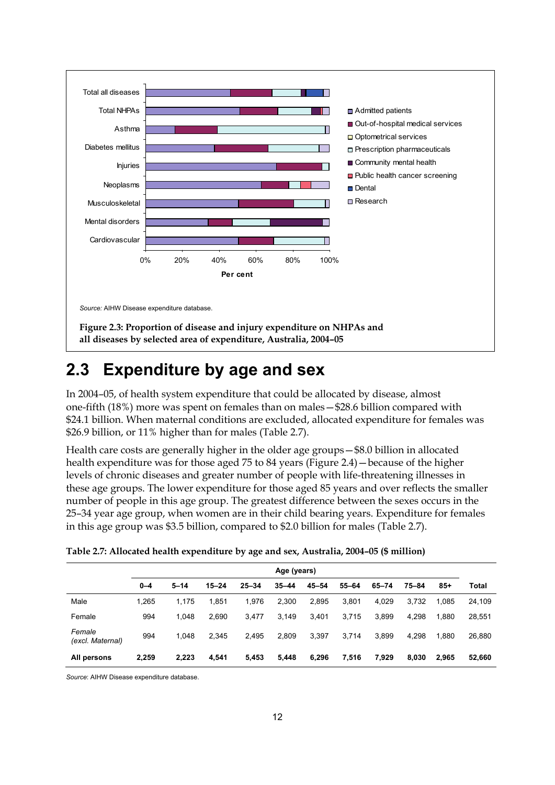

### <span id="page-20-2"></span><span id="page-20-0"></span>**2.3 Expenditure by age and sex**

In 2004–05, of health system expenditure that could be allocated by disease, almost one-fifth (18%) more was spent on females than on males—\$28.6 billion compared with \$24.1 billion. When maternal conditions are excluded, allocated expenditure for females was \$26.9 billion, or 11% higher than for males (Table 2.7).

Health care costs are generally higher in the older age groups—\$8.0 billion in allocated health expenditure was for those aged 75 to 84 years (Figure 2.4)—because of the higher levels of chronic diseases and greater number of people with life-threatening illnesses in these age groups. The lower expenditure for those aged 85 years and over reflects the smaller number of people in this age group. The greatest difference between the sexes occurs in the 25–34 year age group, when women are in their child bearing years. Expenditure for females in this age group was \$3.5 billion, compared to \$2.0 billion for males (Table 2.7).

|                            | Age (years) |          |           |           |           |           |           |           |       |       |        |
|----------------------------|-------------|----------|-----------|-----------|-----------|-----------|-----------|-----------|-------|-------|--------|
|                            | $0 - 4$     | $5 - 14$ | $15 - 24$ | $25 - 34$ | $35 - 44$ | $45 - 54$ | $55 - 64$ | $65 - 74$ | 75-84 | $85+$ | Total  |
| Male                       | 1.265       | 1.175    | 1.851     | 1,976     | 2,300     | 2,895     | 3.801     | 4.029     | 3.732 | 1.085 | 24,109 |
| Female                     | 994         | 1.048    | 2.690     | 3,477     | 3,149     | 3,401     | 3.715     | 3.899     | 4,298 | 1.880 | 28,551 |
| Female<br>(excl. Maternal) | 994         | 1.048    | 2,345     | 2,495     | 2,809     | 3,397     | 3.714     | 3.899     | 4.298 | 1.880 | 26,880 |
| All persons                | 2,259       | 2,223    | 4,541     | 5,453     | 5,448     | 6,296     | 7,516     | 7,929     | 8,030 | 2,965 | 52,660 |

<span id="page-20-1"></span>

| Table 2.7: Allocated health expenditure by age and sex, Australia, 2004-05 (\$ million) |  |  |
|-----------------------------------------------------------------------------------------|--|--|
|                                                                                         |  |  |

*Source*: AIHW Disease expenditure database.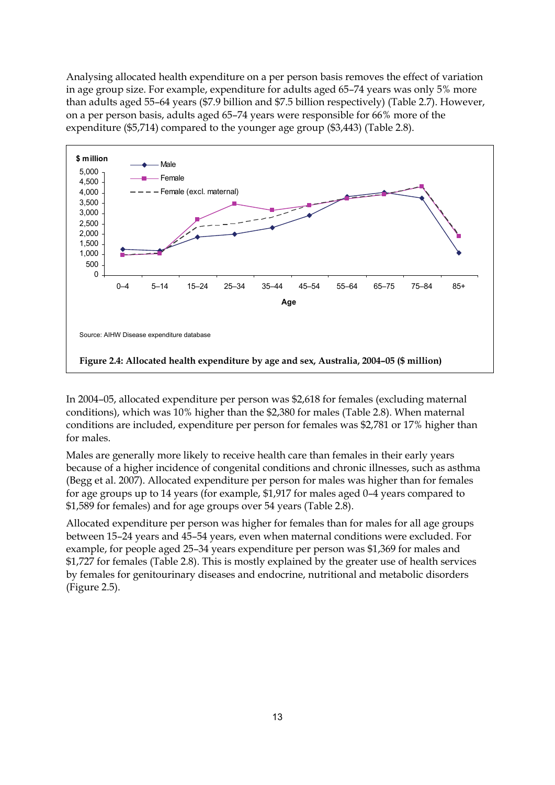Analysing allocated health expenditure on a per person basis removes the effect of variation in age group size. For example, expenditure for adults aged 65–74 years was only 5% more than adults aged 55–64 years (\$7.9 billion and \$7.5 billion respectively) (Table 2.7). However, on a per person basis, adults aged 65–74 years were responsible for 66% more of the expenditure (\$5,714) compared to the younger age group (\$3,443) (Table 2.8).



<span id="page-21-0"></span>In 2004–05, allocated expenditure per person was \$2,618 for females (excluding maternal conditions), which was 10% higher than the \$2,380 for males (Table 2.8). When maternal conditions are included, expenditure per person for females was \$2,781 or 17% higher than for males.

Males are generally more likely to receive health care than females in their early years because of a higher incidence of congenital conditions and chronic illnesses, such as asthma (Begg et al. 2007). Allocated expenditure per person for males was higher than for females for age groups up to 14 years (for example, \$1,917 for males aged 0–4 years compared to \$1,589 for females) and for age groups over 54 years (Table 2.8).

Allocated expenditure per person was higher for females than for males for all age groups between 15–24 years and 45–54 years, even when maternal conditions were excluded. For example, for people aged 25–34 years expenditure per person was \$1,369 for males and \$1,727 for females (Table 2.8). This is mostly explained by the greater use of health services by females for genitourinary diseases and endocrine, nutritional and metabolic disorders (Figure 2.5).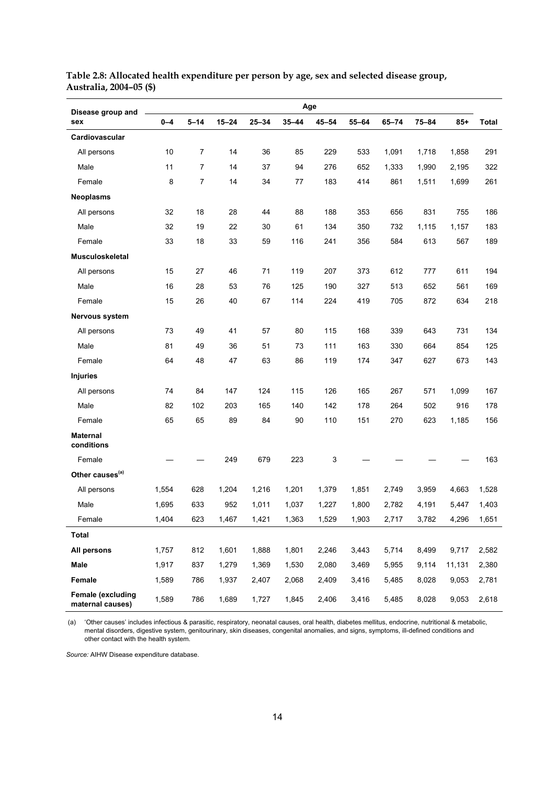| Disease group and                            | Age     |                |           |           |           |           |           |           |       |        |       |
|----------------------------------------------|---------|----------------|-----------|-----------|-----------|-----------|-----------|-----------|-------|--------|-------|
| sex                                          | $0 - 4$ | $5 - 14$       | $15 - 24$ | $25 - 34$ | $35 - 44$ | $45 - 54$ | $55 - 64$ | $65 - 74$ | 75-84 | $85+$  | Total |
| Cardiovascular                               |         |                |           |           |           |           |           |           |       |        |       |
| All persons                                  | 10      | $\overline{7}$ | 14        | 36        | 85        | 229       | 533       | 1,091     | 1,718 | 1,858  | 291   |
| Male                                         | 11      | $\overline{7}$ | 14        | 37        | 94        | 276       | 652       | 1,333     | 1,990 | 2,195  | 322   |
| Female                                       | 8       | 7              | 14        | 34        | 77        | 183       | 414       | 861       | 1,511 | 1,699  | 261   |
| <b>Neoplasms</b>                             |         |                |           |           |           |           |           |           |       |        |       |
| All persons                                  | 32      | 18             | 28        | 44        | 88        | 188       | 353       | 656       | 831   | 755    | 186   |
| Male                                         | 32      | 19             | 22        | 30        | 61        | 134       | 350       | 732       | 1,115 | 1,157  | 183   |
| Female                                       | 33      | 18             | 33        | 59        | 116       | 241       | 356       | 584       | 613   | 567    | 189   |
| Musculoskeletal                              |         |                |           |           |           |           |           |           |       |        |       |
| All persons                                  | 15      | 27             | 46        | 71        | 119       | 207       | 373       | 612       | 777   | 611    | 194   |
| Male                                         | 16      | 28             | 53        | 76        | 125       | 190       | 327       | 513       | 652   | 561    | 169   |
| Female                                       | 15      | 26             | 40        | 67        | 114       | 224       | 419       | 705       | 872   | 634    | 218   |
| Nervous system                               |         |                |           |           |           |           |           |           |       |        |       |
| All persons                                  | 73      | 49             | 41        | 57        | 80        | 115       | 168       | 339       | 643   | 731    | 134   |
| Male                                         | 81      | 49             | 36        | 51        | 73        | 111       | 163       | 330       | 664   | 854    | 125   |
| Female                                       | 64      | 48             | 47        | 63        | 86        | 119       | 174       | 347       | 627   | 673    | 143   |
| <b>Injuries</b>                              |         |                |           |           |           |           |           |           |       |        |       |
| All persons                                  | 74      | 84             | 147       | 124       | 115       | 126       | 165       | 267       | 571   | 1,099  | 167   |
| Male                                         | 82      | 102            | 203       | 165       | 140       | 142       | 178       | 264       | 502   | 916    | 178   |
| Female                                       | 65      | 65             | 89        | 84        | 90        | 110       | 151       | 270       | 623   | 1,185  | 156   |
| <b>Maternal</b><br>conditions                |         |                |           |           |           |           |           |           |       |        |       |
| Female                                       |         |                | 249       | 679       | 223       | 3         |           |           |       |        | 163   |
| Other causes <sup>(a)</sup>                  |         |                |           |           |           |           |           |           |       |        |       |
| All persons                                  | 1,554   | 628            | 1,204     | 1,216     | 1,201     | 1,379     | 1,851     | 2,749     | 3,959 | 4,663  | 1,528 |
| Male                                         | 1,695   | 633            | 952       | 1,011     | 1,037     | 1,227     | 1,800     | 2,782     | 4,191 | 5,447  | 1,403 |
| Female                                       | 1,404   | 623            | 1,467     | 1,421     | 1,363     | 1,529     | 1,903     | 2,717     | 3,782 | 4,296  | 1,651 |
| <b>Total</b>                                 |         |                |           |           |           |           |           |           |       |        |       |
| All persons                                  | 1,757   | 812            | 1,601     | 1,888     | 1,801     | 2,246     | 3,443     | 5,714     | 8,499 | 9,717  | 2,582 |
| Male                                         | 1,917   | 837            | 1,279     | 1,369     | 1,530     | 2,080     | 3,469     | 5,955     | 9,114 | 11,131 | 2,380 |
| Female                                       | 1,589   | 786            | 1,937     | 2,407     | 2,068     | 2,409     | 3,416     | 5,485     | 8,028 | 9,053  | 2,781 |
| <b>Female (excluding</b><br>maternal causes) | 1,589   | 786            | 1,689     | 1,727     | 1,845     | 2,406     | 3,416     | 5,485     | 8,028 | 9,053  | 2,618 |

<span id="page-22-0"></span>**Table 2.8: Allocated health expenditure per person by age, sex and selected disease group, Australia, 2004–05 (\$)** 

 (a) 'Other causes' includes infectious & parasitic, respiratory, neonatal causes, oral health, diabetes mellitus, endocrine, nutritional & metabolic, mental disorders, digestive system, genitourinary, skin diseases, congenital anomalies, and signs, symptoms, ill-defined conditions and other contact with the health system.

*Source:* AIHW Disease expenditure database.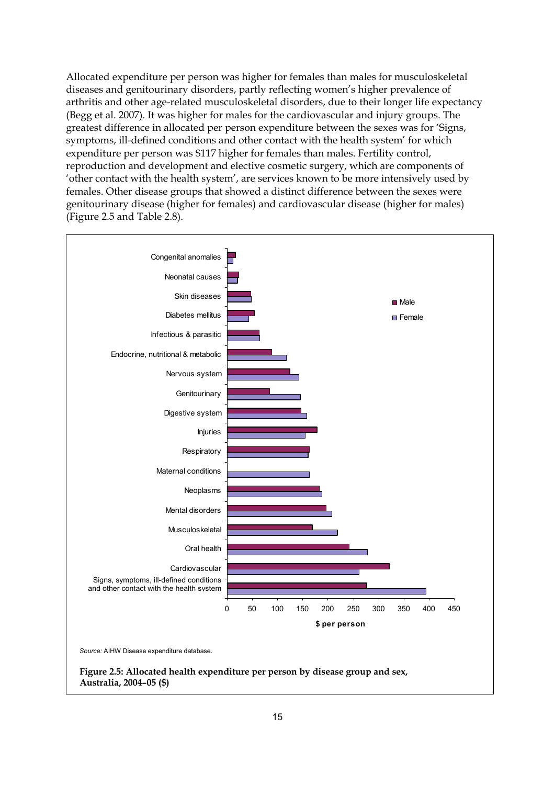Allocated expenditure per person was higher for females than males for musculoskeletal diseases and genitourinary disorders, partly reflecting women's higher prevalence of arthritis and other age-related musculoskeletal disorders, due to their longer life expectancy (Begg et al. 2007). It was higher for males for the cardiovascular and injury groups. The greatest difference in allocated per person expenditure between the sexes was for 'Signs, symptoms, ill-defined conditions and other contact with the health system' for which expenditure per person was \$117 higher for females than males. Fertility control, reproduction and development and elective cosmetic surgery, which are components of 'other contact with the health system', are services known to be more intensively used by females. Other disease groups that showed a distinct difference between the sexes were genitourinary disease (higher for females) and cardiovascular disease (higher for males) (Figure 2.5 and Table 2.8).

<span id="page-23-0"></span>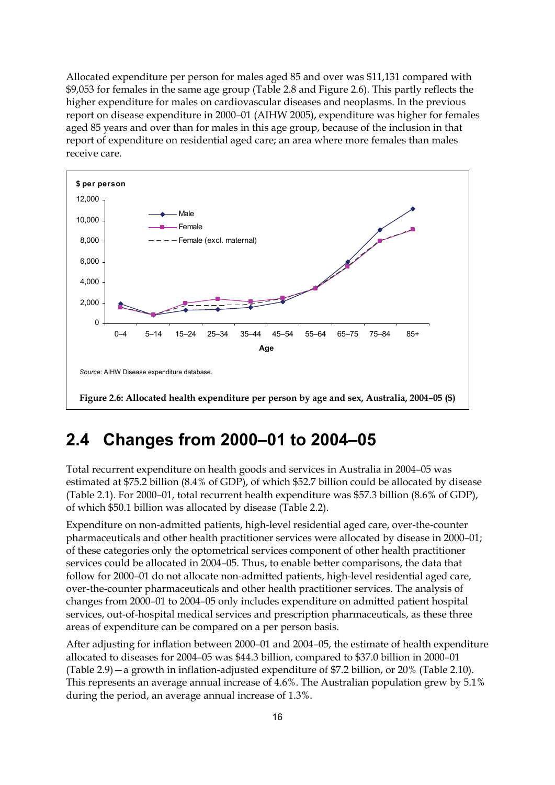Allocated expenditure per person for males aged 85 and over was \$11,131 compared with \$9,053 for females in the same age group (Table 2.8 and Figure 2.6). This partly reflects the higher expenditure for males on cardiovascular diseases and neoplasms. In the previous report on disease expenditure in 2000–01 (AIHW 2005), expenditure was higher for females aged 85 years and over than for males in this age group, because of the inclusion in that report of expenditure on residential aged care; an area where more females than males receive care.



### <span id="page-24-1"></span><span id="page-24-0"></span>**2.4 Changes from 2000–01 to 2004–05**

Total recurrent expenditure on health goods and services in Australia in 2004–05 was estimated at \$75.2 billion (8.4% of GDP), of which \$52.7 billion could be allocated by disease (Table 2.1). For 2000–01, total recurrent health expenditure was \$57.3 billion (8.6% of GDP), of which \$50.1 billion was allocated by disease (Table 2.2).

Expenditure on non-admitted patients, high-level residential aged care, over-the-counter pharmaceuticals and other health practitioner services were allocated by disease in 2000–01; of these categories only the optometrical services component of other health practitioner services could be allocated in 2004–05. Thus, to enable better comparisons, the data that follow for 2000–01 do not allocate non-admitted patients, high-level residential aged care, over-the-counter pharmaceuticals and other health practitioner services. The analysis of changes from 2000–01 to 2004–05 only includes expenditure on admitted patient hospital services, out-of-hospital medical services and prescription pharmaceuticals, as these three areas of expenditure can be compared on a per person basis.

After adjusting for inflation between 2000–01 and 2004–05, the estimate of health expenditure allocated to diseases for 2004–05 was \$44.3 billion, compared to \$37.0 billion in 2000–01 (Table 2.9)—a growth in inflation-adjusted expenditure of \$7.2 billion, or 20% (Table 2.10). This represents an average annual increase of 4.6%. The Australian population grew by 5.1% during the period, an average annual increase of 1.3%.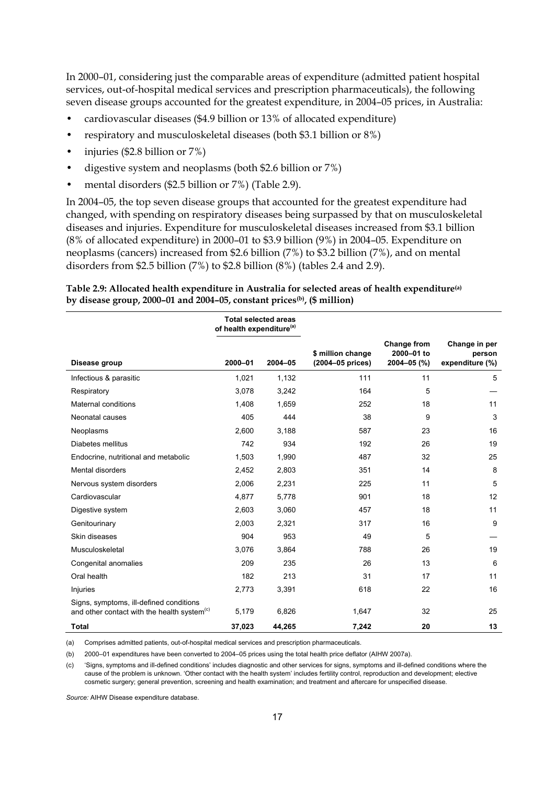In 2000–01, considering just the comparable areas of expenditure (admitted patient hospital services, out-of-hospital medical services and prescription pharmaceuticals), the following seven disease groups accounted for the greatest expenditure, in 2004–05 prices, in Australia:

- cardiovascular diseases (\$4.9 billion or 13% of allocated expenditure)
- respiratory and musculoskeletal diseases (both \$3.1 billion or 8%)
- injuries (\$2.8 billion or 7%)
- digestive system and neoplasms (both \$2.6 billion or 7%)
- mental disorders (\$2.5 billion or 7%) (Table 2.9).

In 2004–05, the top seven disease groups that accounted for the greatest expenditure had changed, with spending on respiratory diseases being surpassed by that on musculoskeletal diseases and injuries. Expenditure for musculoskeletal diseases increased from \$3.1 billion (8% of allocated expenditure) in 2000–01 to \$3.9 billion (9%) in 2004–05. Expenditure on neoplasms (cancers) increased from \$2.6 billion (7%) to \$3.2 billion (7%), and on mental disorders from \$2.5 billion (7%) to \$2.8 billion (8%) (tables 2.4 and 2.9).

#### <span id="page-25-0"></span>**Table 2.9: Allocated health expenditure in Australia for selected areas of health expenditure(a) by disease group, 2000–01 and 2004–05, constant prices(b), (\$ million)**

|                                                                                                    | of health expenditure <sup>(a)</sup> | <b>Total selected areas</b> |                                       |                                          |                                            |
|----------------------------------------------------------------------------------------------------|--------------------------------------|-----------------------------|---------------------------------------|------------------------------------------|--------------------------------------------|
| Disease group                                                                                      | 2000-01                              | $2004 - 05$                 | \$ million change<br>(2004-05 prices) | Change from<br>2000-01 to<br>2004-05 (%) | Change in per<br>person<br>expenditure (%) |
| Infectious & parasitic                                                                             | 1,021                                | 1,132                       | 111                                   | 11                                       | 5                                          |
| Respiratory                                                                                        | 3,078                                | 3,242                       | 164                                   | 5                                        |                                            |
| Maternal conditions                                                                                | 1,408                                | 1,659                       | 252                                   | 18                                       | 11                                         |
| Neonatal causes                                                                                    | 405                                  | 444                         | 38                                    | 9                                        | 3                                          |
| Neoplasms                                                                                          | 2,600                                | 3,188                       | 587                                   | 23                                       | 16                                         |
| Diabetes mellitus                                                                                  | 742                                  | 934                         | 192                                   | 26                                       | 19                                         |
| Endocrine, nutritional and metabolic                                                               | 1,503                                | 1,990                       | 487                                   | 32                                       | 25                                         |
| Mental disorders                                                                                   | 2,452                                | 2,803                       | 351                                   | 14                                       | 8                                          |
| Nervous system disorders                                                                           | 2,006                                | 2,231                       | 225                                   | 11                                       | 5                                          |
| Cardiovascular                                                                                     | 4,877                                | 5,778                       | 901                                   | 18                                       | 12                                         |
| Digestive system                                                                                   | 2,603                                | 3,060                       | 457                                   | 18                                       | 11                                         |
| Genitourinary                                                                                      | 2,003                                | 2,321                       | 317                                   | 16                                       | 9                                          |
| Skin diseases                                                                                      | 904                                  | 953                         | 49                                    | 5                                        |                                            |
| Musculoskeletal                                                                                    | 3,076                                | 3,864                       | 788                                   | 26                                       | 19                                         |
| Congenital anomalies                                                                               | 209                                  | 235                         | 26                                    | 13                                       | 6                                          |
| Oral health                                                                                        | 182                                  | 213                         | 31                                    | 17                                       | 11                                         |
| Injuries                                                                                           | 2,773                                | 3,391                       | 618                                   | 22                                       | 16                                         |
| Signs, symptoms, ill-defined conditions<br>and other contact with the health system <sup>(c)</sup> | 5,179                                | 6,826                       | 1,647                                 | 32                                       | 25                                         |
| <b>Total</b>                                                                                       | 37,023                               | 44,265                      | 7,242                                 | 20                                       | 13                                         |

(a) Comprises admitted patients, out-of-hospital medical services and prescription pharmaceuticals.

(b) 2000–01 expenditures have been converted to 2004–05 prices using the total health price deflator (AIHW 2007a).

(c) 'Signs, symptoms and ill-defined conditions' includes diagnostic and other services for signs, symptoms and ill-defined conditions where the cause of the problem is unknown. 'Other contact with the health system' includes fertility control, reproduction and development; elective cosmetic surgery; general prevention, screening and health examination; and treatment and aftercare for unspecified disease.

*Source:* AIHW Disease expenditure database.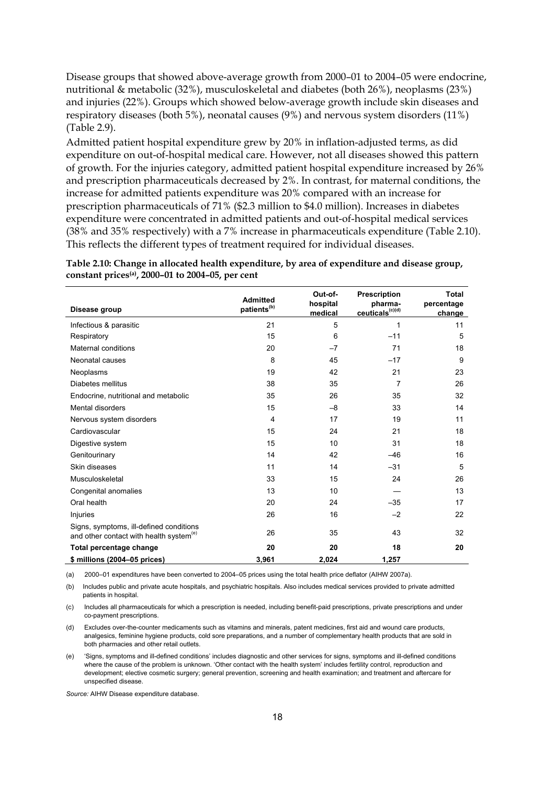Disease groups that showed above-average growth from 2000–01 to 2004–05 were endocrine, nutritional & metabolic (32%), musculoskeletal and diabetes (both 26%), neoplasms (23%) and injuries (22%). Groups which showed below-average growth include skin diseases and respiratory diseases (both 5%), neonatal causes (9%) and nervous system disorders (11%) (Table 2.9).

Admitted patient hospital expenditure grew by 20% in inflation-adjusted terms, as did expenditure on out-of-hospital medical care. However, not all diseases showed this pattern of growth. For the injuries category, admitted patient hospital expenditure increased by 26% and prescription pharmaceuticals decreased by 2%. In contrast, for maternal conditions, the increase for admitted patients expenditure was 20% compared with an increase for prescription pharmaceuticals of 71% (\$2.3 million to \$4.0 million). Increases in diabetes expenditure were concentrated in admitted patients and out-of-hospital medical services (38% and 35% respectively) with a 7% increase in pharmaceuticals expenditure (Table 2.10). This reflects the different types of treatment required for individual diseases.

<span id="page-26-0"></span>**Table 2.10: Change in allocated health expenditure, by area of expenditure and disease group, constant prices(a), 2000–01 to 2004–05, per cent** 

| Disease group                                                                                  | <b>Admitted</b><br>patients <sup>(b)</sup> | Out-of-<br>hospital<br>medical | <b>Prescription</b><br>pharma-<br>ceuticals <sup>(c)(d)</sup> | Total<br>percentage<br>change |
|------------------------------------------------------------------------------------------------|--------------------------------------------|--------------------------------|---------------------------------------------------------------|-------------------------------|
| Infectious & parasitic                                                                         | 21                                         | 5                              | 1                                                             | 11                            |
| Respiratory                                                                                    | 15                                         | 6                              | $-11$                                                         | 5                             |
| Maternal conditions                                                                            | 20                                         | $-7$                           | 71                                                            | 18                            |
| Neonatal causes                                                                                | 8                                          | 45                             | $-17$                                                         | 9                             |
| Neoplasms                                                                                      | 19                                         | 42                             | 21                                                            | 23                            |
| Diabetes mellitus                                                                              | 38                                         | 35                             | $\overline{7}$                                                | 26                            |
| Endocrine, nutritional and metabolic                                                           | 35                                         | 26                             | 35                                                            | 32                            |
| Mental disorders                                                                               | 15                                         | $-8$                           | 33                                                            | 14                            |
| Nervous system disorders                                                                       | 4                                          | 17                             | 19                                                            | 11                            |
| Cardiovascular                                                                                 | 15                                         | 24                             | 21                                                            | 18                            |
| Digestive system                                                                               | 15                                         | 10                             | 31                                                            | 18                            |
| Genitourinary                                                                                  | 14                                         | 42                             | $-46$                                                         | 16                            |
| Skin diseases                                                                                  | 11                                         | 14                             | $-31$                                                         | 5                             |
| Musculoskeletal                                                                                | 33                                         | 15                             | 24                                                            | 26                            |
| Congenital anomalies                                                                           | 13                                         | 10                             |                                                               | 13                            |
| Oral health                                                                                    | 20                                         | 24                             | $-35$                                                         | 17                            |
| Injuries                                                                                       | 26                                         | 16                             | $-2$                                                          | 22                            |
| Signs, symptoms, ill-defined conditions<br>and other contact with health system <sup>(e)</sup> | 26                                         | 35                             | 43                                                            | 32                            |
| Total percentage change                                                                        | 20                                         | 20                             | 18                                                            | 20                            |
| \$ millions (2004-05 prices)                                                                   | 3,961                                      | 2,024                          | 1,257                                                         |                               |

(a) 2000–01 expenditures have been converted to 2004–05 prices using the total health price deflator (AIHW 2007a).

(b) Includes public and private acute hospitals, and psychiatric hospitals. Also includes medical services provided to private admitted patients in hospital.

(c) Includes all pharmaceuticals for which a prescription is needed, including benefit-paid prescriptions, private prescriptions and under co-payment prescriptions.

(d) Excludes over-the-counter medicaments such as vitamins and minerals, patent medicines, first aid and wound care products, analgesics, feminine hygiene products, cold sore preparations, and a number of complementary health products that are sold in both pharmacies and other retail outlets.

(e) 'Signs, symptoms and ill-defined conditions' includes diagnostic and other services for signs, symptoms and ill-defined conditions where the cause of the problem is unknown. 'Other contact with the health system' includes fertility control, reproduction and development; elective cosmetic surgery; general prevention, screening and health examination; and treatment and aftercare for unspecified disease.

*Source:* AIHW Disease expenditure database.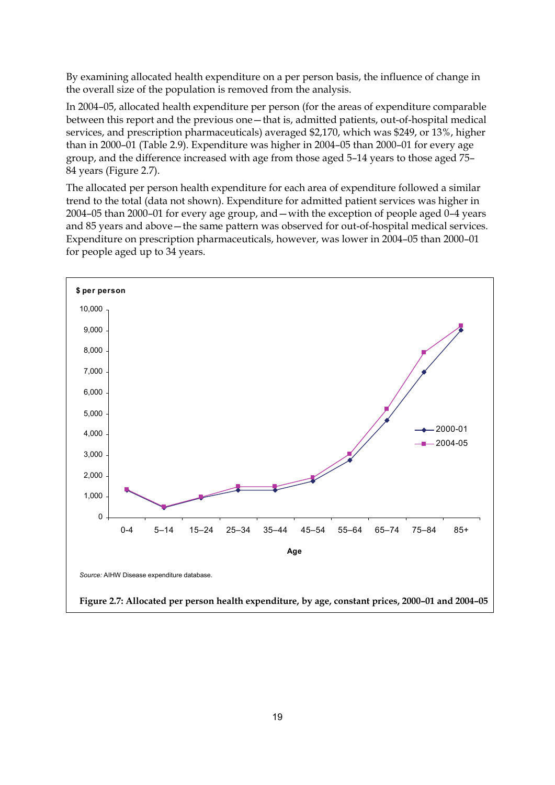By examining allocated health expenditure on a per person basis, the influence of change in the overall size of the population is removed from the analysis.

In 2004–05, allocated health expenditure per person (for the areas of expenditure comparable between this report and the previous one—that is, admitted patients, out-of-hospital medical services, and prescription pharmaceuticals) averaged \$2,170, which was \$249, or 13%, higher than in 2000–01 (Table 2.9). Expenditure was higher in 2004–05 than 2000–01 for every age group, and the difference increased with age from those aged 5–14 years to those aged 75– 84 years (Figure 2.7).

The allocated per person health expenditure for each area of expenditure followed a similar trend to the total (data not shown). Expenditure for admitted patient services was higher in 2004–05 than 2000–01 for every age group, and—with the exception of people aged 0–4 years and 85 years and above—the same pattern was observed for out-of-hospital medical services. Expenditure on prescription pharmaceuticals, however, was lower in 2004–05 than 2000–01 for people aged up to 34 years.

<span id="page-27-0"></span>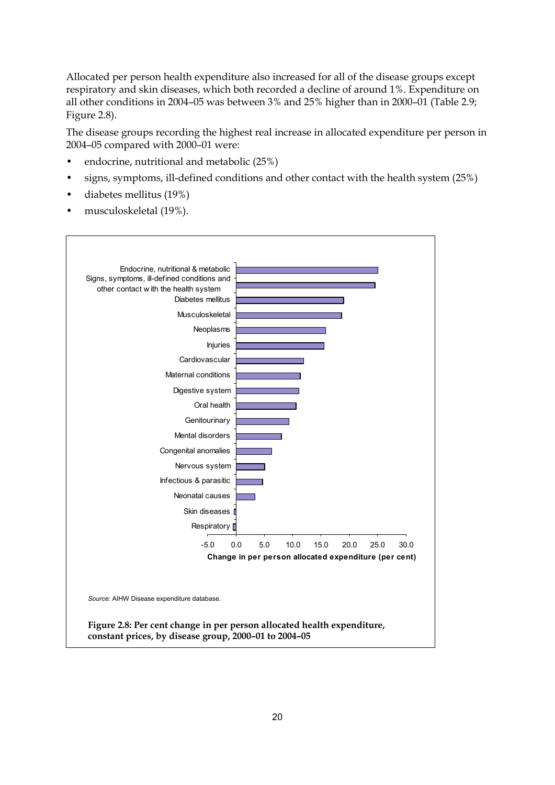Allocated per person health expenditure also increased for all of the disease groups except respiratory and skin diseases, which both recorded a decline of around 1%. Expenditure on all other conditions in 2004–05 was between 3% and 25% higher than in 2000–01 (Table 2.9; Figure 2.8).

The disease groups recording the highest real increase in allocated expenditure per person in 2004–05 compared with 2000–01 were:

- endocrine, nutritional and metabolic (25%)
- signs, symptoms, ill-defined conditions and other contact with the health system (25%)
- diabetes mellitus (19%)
- musculoskeletal (19%).

<span id="page-28-0"></span>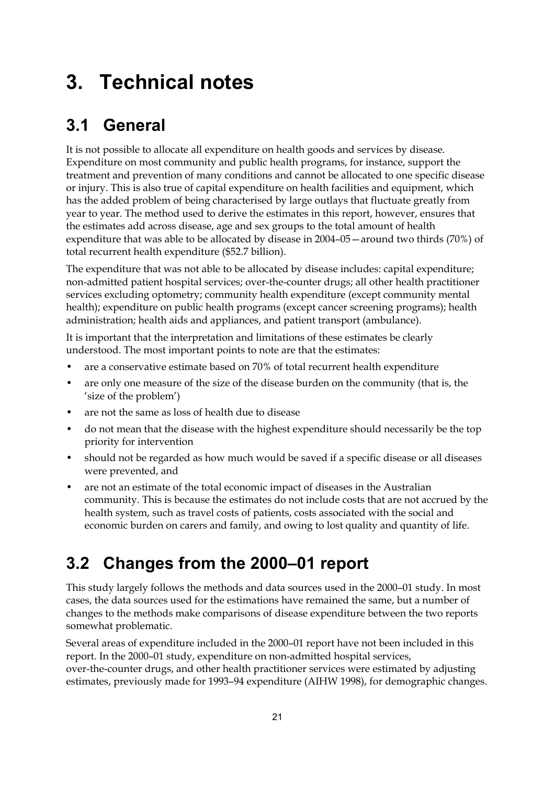## <span id="page-29-0"></span>**3. Technical notes**

## <span id="page-29-1"></span>**3.1 General**

It is not possible to allocate all expenditure on health goods and services by disease. Expenditure on most community and public health programs, for instance, support the treatment and prevention of many conditions and cannot be allocated to one specific disease or injury. This is also true of capital expenditure on health facilities and equipment, which has the added problem of being characterised by large outlays that fluctuate greatly from year to year. The method used to derive the estimates in this report, however, ensures that the estimates add across disease, age and sex groups to the total amount of health expenditure that was able to be allocated by disease in 2004–05—around two thirds (70%) of total recurrent health expenditure (\$52.7 billion).

The expenditure that was not able to be allocated by disease includes: capital expenditure; non-admitted patient hospital services; over-the-counter drugs; all other health practitioner services excluding optometry; community health expenditure (except community mental health); expenditure on public health programs (except cancer screening programs); health administration; health aids and appliances, and patient transport (ambulance).

It is important that the interpretation and limitations of these estimates be clearly understood. The most important points to note are that the estimates:

- are a conservative estimate based on 70% of total recurrent health expenditure
- are only one measure of the size of the disease burden on the community (that is, the 'size of the problem')
- are not the same as loss of health due to disease
- do not mean that the disease with the highest expenditure should necessarily be the top priority for intervention
- should not be regarded as how much would be saved if a specific disease or all diseases were prevented, and
- are not an estimate of the total economic impact of diseases in the Australian community. This is because the estimates do not include costs that are not accrued by the health system, such as travel costs of patients, costs associated with the social and economic burden on carers and family, and owing to lost quality and quantity of life.

### <span id="page-29-2"></span>**3.2 Changes from the 2000–01 report**

This study largely follows the methods and data sources used in the 2000–01 study. In most cases, the data sources used for the estimations have remained the same, but a number of changes to the methods make comparisons of disease expenditure between the two reports somewhat problematic.

Several areas of expenditure included in the 2000–01 report have not been included in this report. In the 2000–01 study, expenditure on non-admitted hospital services, over-the-counter drugs, and other health practitioner services were estimated by adjusting estimates, previously made for 1993–94 expenditure (AIHW 1998), for demographic changes.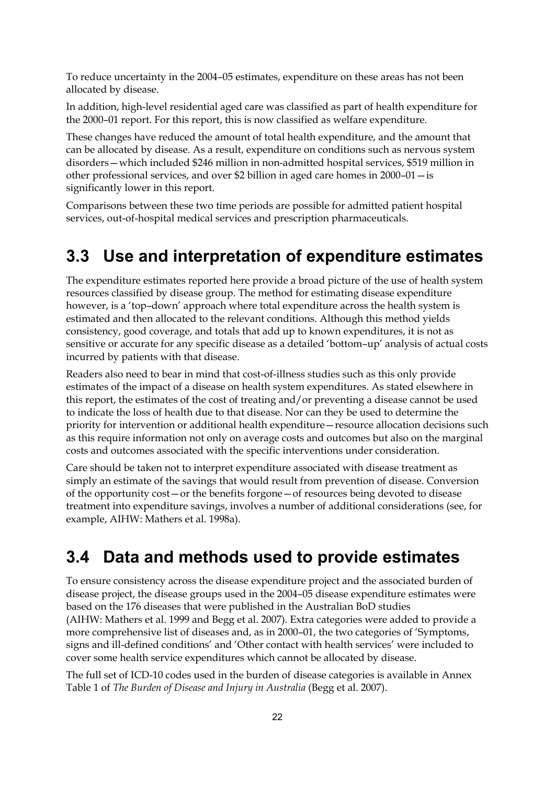To reduce uncertainty in the 2004–05 estimates, expenditure on these areas has not been allocated by disease.

In addition, high-level residential aged care was classified as part of health expenditure for the 2000–01 report. For this report, this is now classified as welfare expenditure.

These changes have reduced the amount of total health expenditure, and the amount that can be allocated by disease. As a result, expenditure on conditions such as nervous system disorders—which included \$246 million in non-admitted hospital services, \$519 million in other professional services, and over \$2 billion in aged care homes in 2000–01—is significantly lower in this report.

Comparisons between these two time periods are possible for admitted patient hospital services, out-of-hospital medical services and prescription pharmaceuticals.

### <span id="page-30-0"></span>**3.3 Use and interpretation of expenditure estimates**

The expenditure estimates reported here provide a broad picture of the use of health system resources classified by disease group. The method for estimating disease expenditure however, is a 'top–down' approach where total expenditure across the health system is estimated and then allocated to the relevant conditions. Although this method yields consistency, good coverage, and totals that add up to known expenditures, it is not as sensitive or accurate for any specific disease as a detailed 'bottom–up' analysis of actual costs incurred by patients with that disease.

Readers also need to bear in mind that cost-of-illness studies such as this only provide estimates of the impact of a disease on health system expenditures. As stated elsewhere in this report, the estimates of the cost of treating and/or preventing a disease cannot be used to indicate the loss of health due to that disease. Nor can they be used to determine the priority for intervention or additional health expenditure—resource allocation decisions such as this require information not only on average costs and outcomes but also on the marginal costs and outcomes associated with the specific interventions under consideration.

Care should be taken not to interpret expenditure associated with disease treatment as simply an estimate of the savings that would result from prevention of disease. Conversion of the opportunity cost—or the benefits forgone—of resources being devoted to disease treatment into expenditure savings, involves a number of additional considerations (see, for example, AIHW: Mathers et al. 1998a).

### <span id="page-30-1"></span>**3.4 Data and methods used to provide estimates**

To ensure consistency across the disease expenditure project and the associated burden of disease project, the disease groups used in the 2004–05 disease expenditure estimates were based on the 176 diseases that were published in the Australian BoD studies (AIHW: Mathers et al. 1999 and Begg et al. 2007). Extra categories were added to provide a more comprehensive list of diseases and, as in 2000–01, the two categories of 'Symptoms, signs and ill-defined conditions' and 'Other contact with health services' were included to cover some health service expenditures which cannot be allocated by disease.

The full set of ICD-10 codes used in the burden of disease categories is available in Annex Table 1 of *The Burden of Disease and Injury in Australia* (Begg et al. 2007).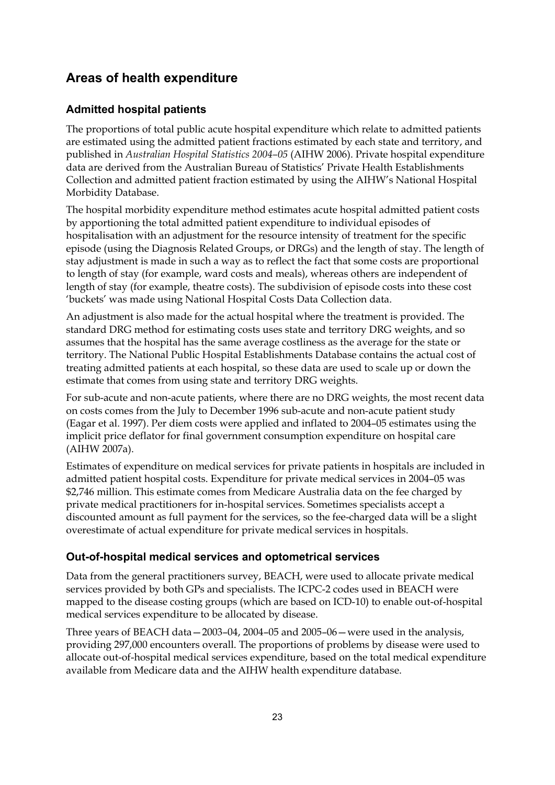### **Areas of health expenditure**

### **Admitted hospital patients**

The proportions of total public acute hospital expenditure which relate to admitted patients are estimated using the admitted patient fractions estimated by each state and territory, and published in *Australian Hospital Statistics 2004–05* (AIHW 2006). Private hospital expenditure data are derived from the Australian Bureau of Statistics' Private Health Establishments Collection and admitted patient fraction estimated by using the AIHW's National Hospital Morbidity Database.

The hospital morbidity expenditure method estimates acute hospital admitted patient costs by apportioning the total admitted patient expenditure to individual episodes of hospitalisation with an adjustment for the resource intensity of treatment for the specific episode (using the Diagnosis Related Groups, or DRGs) and the length of stay. The length of stay adjustment is made in such a way as to reflect the fact that some costs are proportional to length of stay (for example, ward costs and meals), whereas others are independent of length of stay (for example, theatre costs). The subdivision of episode costs into these cost 'buckets' was made using National Hospital Costs Data Collection data.

An adjustment is also made for the actual hospital where the treatment is provided. The standard DRG method for estimating costs uses state and territory DRG weights, and so assumes that the hospital has the same average costliness as the average for the state or territory. The National Public Hospital Establishments Database contains the actual cost of treating admitted patients at each hospital, so these data are used to scale up or down the estimate that comes from using state and territory DRG weights.

For sub-acute and non-acute patients, where there are no DRG weights, the most recent data on costs comes from the July to December 1996 sub-acute and non-acute patient study (Eagar et al. 1997). Per diem costs were applied and inflated to 2004–05 estimates using the implicit price deflator for final government consumption expenditure on hospital care (AIHW 2007a).

Estimates of expenditure on medical services for private patients in hospitals are included in admitted patient hospital costs. Expenditure for private medical services in 2004–05 was \$2,746 million. This estimate comes from Medicare Australia data on the fee charged by private medical practitioners for in-hospital services. Sometimes specialists accept a discounted amount as full payment for the services, so the fee-charged data will be a slight overestimate of actual expenditure for private medical services in hospitals.

### **Out-of-hospital medical services and optometrical services**

Data from the general practitioners survey, BEACH, were used to allocate private medical services provided by both GPs and specialists. The ICPC-2 codes used in BEACH were mapped to the disease costing groups (which are based on ICD-10) to enable out-of-hospital medical services expenditure to be allocated by disease.

Three years of BEACH data—2003–04, 2004–05 and 2005–06—were used in the analysis, providing 297,000 encounters overall. The proportions of problems by disease were used to allocate out-of-hospital medical services expenditure, based on the total medical expenditure available from Medicare data and the AIHW health expenditure database.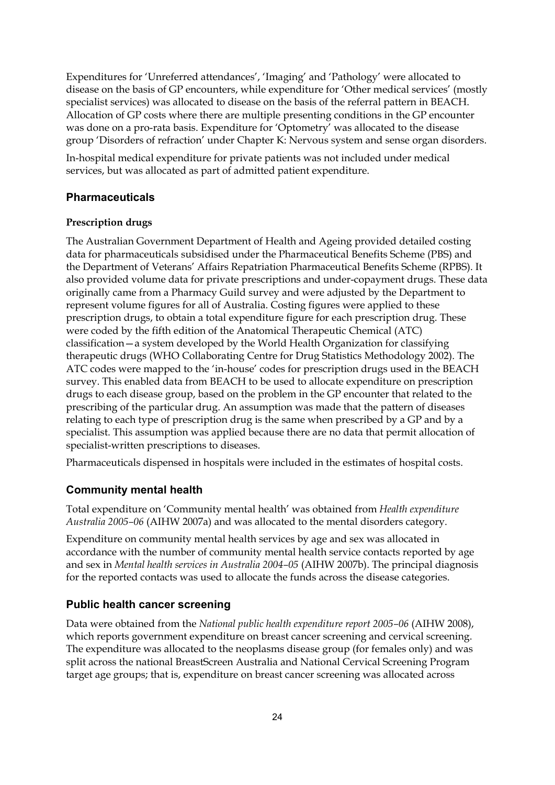Expenditures for 'Unreferred attendances', 'Imaging' and 'Pathology' were allocated to disease on the basis of GP encounters, while expenditure for 'Other medical services' (mostly specialist services) was allocated to disease on the basis of the referral pattern in BEACH. Allocation of GP costs where there are multiple presenting conditions in the GP encounter was done on a pro-rata basis. Expenditure for 'Optometry' was allocated to the disease group 'Disorders of refraction' under Chapter K: Nervous system and sense organ disorders.

In-hospital medical expenditure for private patients was not included under medical services, but was allocated as part of admitted patient expenditure.

### **Pharmaceuticals**

### **Prescription drugs**

The Australian Government Department of Health and Ageing provided detailed costing data for pharmaceuticals subsidised under the Pharmaceutical Benefits Scheme (PBS) and the Department of Veterans' Affairs Repatriation Pharmaceutical Benefits Scheme (RPBS). It also provided volume data for private prescriptions and under-copayment drugs. These data originally came from a Pharmacy Guild survey and were adjusted by the Department to represent volume figures for all of Australia. Costing figures were applied to these prescription drugs, to obtain a total expenditure figure for each prescription drug. These were coded by the fifth edition of the Anatomical Therapeutic Chemical (ATC) classification—a system developed by the World Health Organization for classifying therapeutic drugs (WHO Collaborating Centre for Drug Statistics Methodology 2002). The ATC codes were mapped to the 'in-house' codes for prescription drugs used in the BEACH survey. This enabled data from BEACH to be used to allocate expenditure on prescription drugs to each disease group, based on the problem in the GP encounter that related to the prescribing of the particular drug. An assumption was made that the pattern of diseases relating to each type of prescription drug is the same when prescribed by a GP and by a specialist. This assumption was applied because there are no data that permit allocation of specialist-written prescriptions to diseases.

Pharmaceuticals dispensed in hospitals were included in the estimates of hospital costs.

### **Community mental health**

Total expenditure on 'Community mental health' was obtained from *Health expenditure Australia 2005–06* (AIHW 2007a) and was allocated to the mental disorders category.

Expenditure on community mental health services by age and sex was allocated in accordance with the number of community mental health service contacts reported by age and sex in *Mental health services in Australia 2004–05* (AIHW 2007b). The principal diagnosis for the reported contacts was used to allocate the funds across the disease categories.

### **Public health cancer screening**

Data were obtained from the *National public health expenditure report 2005–06* (AIHW 2008), which reports government expenditure on breast cancer screening and cervical screening. The expenditure was allocated to the neoplasms disease group (for females only) and was split across the national BreastScreen Australia and National Cervical Screening Program target age groups; that is, expenditure on breast cancer screening was allocated across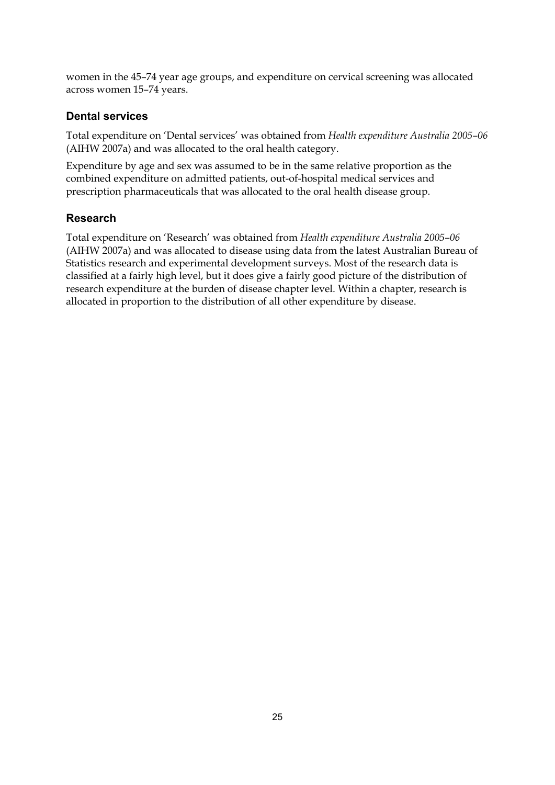women in the 45–74 year age groups, and expenditure on cervical screening was allocated across women 15–74 years.

### **Dental services**

Total expenditure on 'Dental services' was obtained from *Health expenditure Australia 2005–06* (AIHW 2007a) and was allocated to the oral health category.

Expenditure by age and sex was assumed to be in the same relative proportion as the combined expenditure on admitted patients, out-of-hospital medical services and prescription pharmaceuticals that was allocated to the oral health disease group.

### **Research**

Total expenditure on 'Research' was obtained from *Health expenditure Australia 2005–06* (AIHW 2007a) and was allocated to disease using data from the latest Australian Bureau of Statistics research and experimental development surveys. Most of the research data is classified at a fairly high level, but it does give a fairly good picture of the distribution of research expenditure at the burden of disease chapter level. Within a chapter, research is allocated in proportion to the distribution of all other expenditure by disease.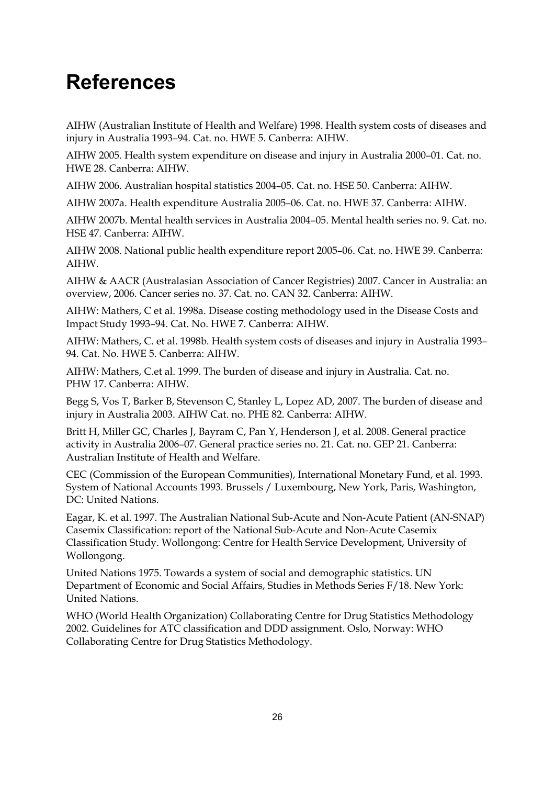## <span id="page-34-0"></span>**References**

AIHW (Australian Institute of Health and Welfare) 1998. Health system costs of diseases and injury in Australia 1993–94. Cat. no. HWE 5. Canberra: AIHW.

AIHW 2005. Health system expenditure on disease and injury in Australia 2000–01. Cat. no. HWE 28. Canberra: AIHW.

AIHW 2006. Australian hospital statistics 2004–05. Cat. no. HSE 50. Canberra: AIHW.

AIHW 2007a. Health expenditure Australia 2005–06. Cat. no. HWE 37. Canberra: AIHW.

AIHW 2007b. Mental health services in Australia 2004–05. Mental health series no. 9. Cat. no. HSE 47. Canberra: AIHW.

AIHW 2008. National public health expenditure report 2005–06. Cat. no. HWE 39. Canberra: AIHW.

AIHW & AACR (Australasian Association of Cancer Registries) 2007. Cancer in Australia: an overview, 2006. Cancer series no. 37. Cat. no. CAN 32. Canberra: AIHW.

AIHW: Mathers, C et al. 1998a. Disease costing methodology used in the Disease Costs and Impact Study 1993–94. Cat. No. HWE 7. Canberra: AIHW.

AIHW: Mathers, C. et al. 1998b. Health system costs of diseases and injury in Australia 1993– 94. Cat. No. HWE 5. Canberra: AIHW.

AIHW: Mathers, C.et al. 1999. The burden of disease and injury in Australia. Cat. no. PHW 17. Canberra: AIHW.

Begg S, Vos T, Barker B, Stevenson C, Stanley L, Lopez AD, 2007. The burden of disease and injury in Australia 2003. AIHW Cat. no. PHE 82. Canberra: AIHW.

Britt H, Miller GC, Charles J, Bayram C, Pan Y, Henderson J, et al. 2008. General practice activity in Australia 2006–07. General practice series no. 21. Cat. no. GEP 21. Canberra: Australian Institute of Health and Welfare.

CEC (Commission of the European Communities), International Monetary Fund, et al. 1993. System of National Accounts 1993. Brussels / Luxembourg, New York, Paris, Washington, DC: United Nations.

Eagar, K. et al. 1997. The Australian National Sub-Acute and Non-Acute Patient (AN-SNAP) Casemix Classification: report of the National Sub-Acute and Non-Acute Casemix Classification Study. Wollongong: Centre for Health Service Development, University of Wollongong.

United Nations 1975. Towards a system of social and demographic statistics. UN Department of Economic and Social Affairs, Studies in Methods Series F/18. New York: United Nations.

WHO (World Health Organization) Collaborating Centre for Drug Statistics Methodology 2002. Guidelines for ATC classification and DDD assignment. Oslo, Norway: WHO Collaborating Centre for Drug Statistics Methodology.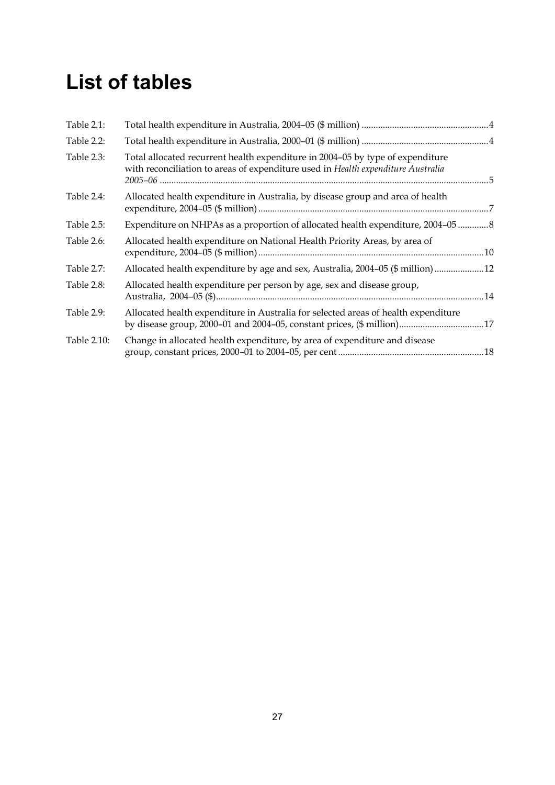# <span id="page-35-0"></span>**List of tables**

| Table 2.1:  |                                                                                                                                                                    |  |
|-------------|--------------------------------------------------------------------------------------------------------------------------------------------------------------------|--|
| Table 2.2:  |                                                                                                                                                                    |  |
| Table 2.3:  | Total allocated recurrent health expenditure in 2004-05 by type of expenditure<br>with reconciliation to areas of expenditure used in Health expenditure Australia |  |
| Table 2.4:  | Allocated health expenditure in Australia, by disease group and area of health                                                                                     |  |
| Table 2.5:  | Expenditure on NHPAs as a proportion of allocated health expenditure, 2004–05                                                                                      |  |
| Table 2.6:  | Allocated health expenditure on National Health Priority Areas, by area of                                                                                         |  |
| Table 2.7:  | Allocated health expenditure by age and sex, Australia, 2004-05 (\$ million) 12                                                                                    |  |
| Table 2.8:  | Allocated health expenditure per person by age, sex and disease group,                                                                                             |  |
| Table 2.9:  | Allocated health expenditure in Australia for selected areas of health expenditure<br>by disease group, 2000-01 and 2004-05, constant prices, (\$ million)17       |  |
| Table 2.10: | Change in allocated health expenditure, by area of expenditure and disease                                                                                         |  |